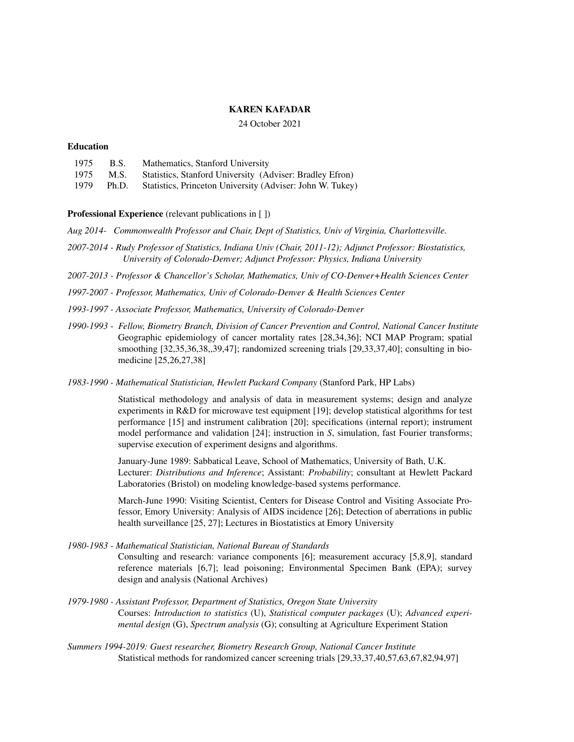## **KAREN KAFADAR**

### 24 October 2021

### **Education**

| 1975 | <b>B.S.</b> | Mathematics, Stanford University                                |
|------|-------------|-----------------------------------------------------------------|
| 1975 |             | M.S. Statistics, Stanford University (Adviser: Bradley Efron)   |
| 1979 |             | Ph.D. Statistics, Princeton University (Adviser: John W. Tukey) |

**Professional Experience** (relevant publications in [ ])

*Aug 2014- Commonwealth Professor and Chair, Dept of Statistics, Univ of Virginia, Charlottesville.*

- *2007-2014 Rudy Professor of Statistics, Indiana Univ (Chair, 2011-12); Adjunct Professor: Biostatistics, University of Colorado-Denver; Adjunct Professor: Physics, Indiana University*
- *2007-2013 Professor & Chancellor's Scholar, Mathematics, Univ of CO-Denver+Health Sciences Center*

*1997-2007 - Professor, Mathematics, Univ of Colorado-Denver & Health Sciences Center*

- *1993-1997 Associate Professor, Mathematics, University of Colorado-Denver*
- *1990-1993 - Fellow, Biometry Branch, Division of Cancer Prevention and Control, National Cancer Institute* Geographic epidemiology of cancer mortality rates [28,34,36]; NCI MAP Program; spatial smoothing [32,35,36,38,,39,47]; randomized screening trials [29,33,37,40]; consulting in biomedicine [25,26,27,38]
- *1983-1990 Mathematical Statistician, Hewlett Packard Company* (Stanford Park, HP Labs)

Statistical methodology and analysis of data in measurement systems; design and analyze experiments in R&D for microwave test equipment [19]; develop statistical algorithms for test performance [15] and instrument calibration [20]; specifications (internal report); instrument model performance and validation [24]; instruction in *S*, simulation, fast Fourier transforms; supervise execution of experiment designs and algorithms.

January-June 1989: Sabbatical Leave, School of Mathematics, University of Bath, U.K. Lecturer: *Distributions and Inference*; Assistant: *Probability*; consultant at Hewlett Packard Laboratories (Bristol) on modeling knowledge-based systems performance.

March-June 1990: Visiting Scientist, Centers for Disease Control and Visiting Associate Professor, Emory University: Analysis of AIDS incidence [26]; Detection of aberrations in public health surveillance [25, 27]; Lectures in Biostatistics at Emory University

*1980-1983 - Mathematical Statistician, National Bureau of Standards* Consulting and research: variance components [6]; measurement accuracy [5,8,9], standard reference materials [6,7]; lead poisoning; Environmental Specimen Bank (EPA); survey design and analysis (National Archives)

- *1979-1980 Assistant Professor, Department of Statistics, Oregon State University* Courses: *Introduction to statistics* (U), *Statistical computer packages* (U); *Advanced experimental design* (G), *Spectrum analysis* (G); consulting at Agriculture Experiment Station
- *Summers 1994-2019: Guest researcher, Biometry Research Group, National Cancer Institute* Statistical methods for randomized cancer screening trials [29,33,37,40,57,63,67,82,94,97]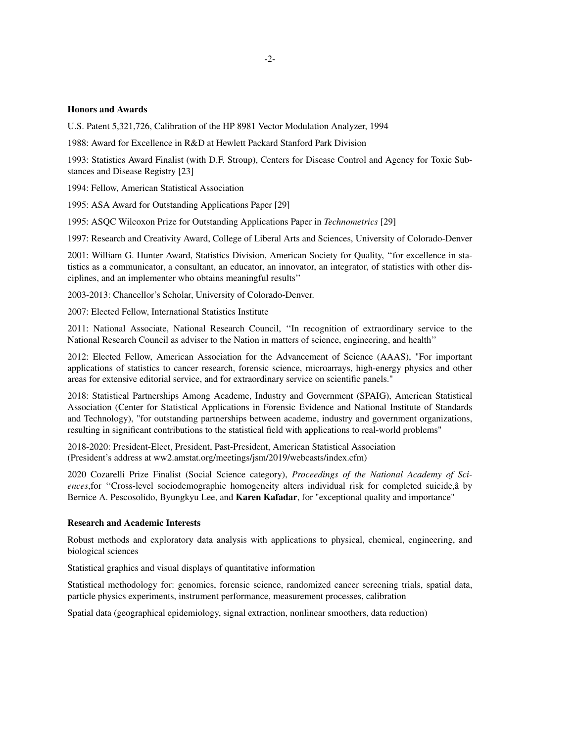### **Honors and Awards**

U.S. Patent 5,321,726, Calibration of the HP 8981 Vector Modulation Analyzer, 1994

1988: Award for Excellence in R&D at Hewlett Packard Stanford Park Division

1993: Statistics Award Finalist (with D.F. Stroup), Centers for Disease Control and Agency for Toxic Substances and Disease Registry [23]

1994: Fellow, American Statistical Association

1995: ASA Award for Outstanding Applications Paper [29]

1995: ASQC Wilcoxon Prize for Outstanding Applications Paper in *Technometrics* [29]

1997: Research and Creativity Award, College of Liberal Arts and Sciences, University of Colorado-Denver

2001: William G. Hunter Award, Statistics Division, American Society for Quality, ''for excellence in statistics as a communicator, a consultant, an educator, an innovator, an integrator, of statistics with other disciplines, and an implementer who obtains meaningful results''

2003-2013: Chancellor's Scholar, University of Colorado-Denver.

2007: Elected Fellow, International Statistics Institute

2011: National Associate, National Research Council, ''In recognition of extraordinary service to the National Research Council as adviser to the Nation in matters of science, engineering, and health''

2012: Elected Fellow, American Association for the Advancement of Science (AAAS), "For important applications of statistics to cancer research, forensic science, microarrays, high-energy physics and other areas for extensive editorial service, and for extraordinary service on scientific panels."

2018: Statistical Partnerships Among Academe, Industry and Government (SPAIG), American Statistical Association (Center for Statistical Applications in Forensic Evidence and National Institute of Standards and Technology), "for outstanding partnerships between academe, industry and government organizations, resulting in significant contributions to the statistical field with applications to real-world problems"

2018-2020: President-Elect, President, Past-President, American Statistical Association (President's address at ww2.amstat.org/meetings/jsm/2019/webcasts/index.cfm)

2020 Cozarelli Prize Finalist (Social Science category), *Proceedings of the National Academy of Sciences*,for ''Cross-level sociodemographic homogeneity alters individual risk for completed suicide,â by Bernice A. Pescosolido, Byungkyu Lee, and **Karen Kafadar**, for "exceptional quality and importance"

### **Research and Academic Interests**

Robust methods and exploratory data analysis with applications to physical, chemical, engineering, and biological sciences

Statistical graphics and visual displays of quantitative information

Statistical methodology for: genomics, forensic science, randomized cancer screening trials, spatial data, particle physics experiments, instrument performance, measurement processes, calibration

Spatial data (geographical epidemiology, signal extraction, nonlinear smoothers, data reduction)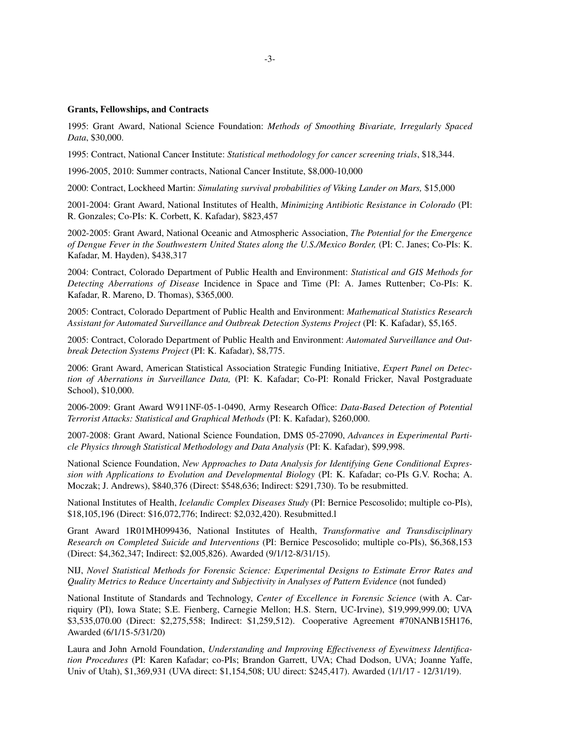#### **Grants, Fellowships, and Contracts**

1995: Grant Award, National Science Foundation: *Methods of Smoothing Bivariate, Irregularly Spaced Data*, \$30,000.

1995: Contract, National Cancer Institute: *Statistical methodology for cancer screening trials*, \$18,344.

1996-2005, 2010: Summer contracts, National Cancer Institute, \$8,000-10,000

2000: Contract, Lockheed Martin: *Simulating survival probabilities of Viking Lander on Mars,* \$15,000

2001-2004: Grant Award, National Institutes of Health, *Minimizing Antibiotic Resistance in Colorado* (PI: R. Gonzales; Co-PIs: K. Corbett, K. Kafadar), \$823,457

2002-2005: Grant Award, National Oceanic and Atmospheric Association, *The Potential for the Emergence of Dengue Fever in the Southwestern United States along the U.S./Mexico Border,* (PI: C. Janes; Co-PIs: K. Kafadar, M. Hayden), \$438,317

2004: Contract, Colorado Department of Public Health and Environment: *Statistical and GIS Methods for Detecting Aberrations of Disease* Incidence in Space and Time (PI: A. James Ruttenber; Co-PIs: K. Kafadar, R. Mareno, D. Thomas), \$365,000.

2005: Contract, Colorado Department of Public Health and Environment: *Mathematical Statistics Research Assistant for Automated Surveillance and Outbreak Detection Systems Project* (PI: K. Kafadar), \$5,165.

2005: Contract, Colorado Department of Public Health and Environment: *Automated Surveillance and Outbreak Detection Systems Project* (PI: K. Kafadar), \$8,775.

2006: Grant Award, American Statistical Association Strategic Funding Initiative, *Expert Panel on Detection of Aberrations in Surveillance Data,* (PI: K. Kafadar; Co-PI: Ronald Fricker, Naval Postgraduate School), \$10,000.

2006-2009: Grant Award W911NF-05-1-0490, Army Research Office: *Data-Based Detection of Potential Terrorist Attacks: Statistical and Graphical Methods* (PI: K. Kafadar), \$260,000.

2007-2008: Grant Award, National Science Foundation, DMS 05-27090, *Advances in Experimental Particle Physics through Statistical Methodology and Data Analysis* (PI: K. Kafadar), \$99,998.

National Science Foundation, *New Approaches to Data Analysis for Identifying Gene Conditional Expression with Applications to Evolution and Developmental Biology* (PI: K. Kafadar; co-PIs G.V. Rocha; A. Moczak; J. Andrews), \$840,376 (Direct: \$548,636; Indirect: \$291,730). To be resubmitted.

National Institutes of Health, *Icelandic Complex Diseases Study* (PI: Bernice Pescosolido; multiple co-PIs), \$18,105,196 (Direct: \$16,072,776; Indirect: \$2,032,420). Resubmitted.l

Grant Award 1R01MH099436, National Institutes of Health, *Transformative and Transdisciplinary Research on Completed Suicide and Interventions* (PI: Bernice Pescosolido; multiple co-PIs), \$6,368,153 (Direct: \$4,362,347; Indirect: \$2,005,826). Awarded (9/1/12-8/31/15).

NIJ, *Novel Statistical Methods for Forensic Science: Experimental Designs to Estimate Error Rates and Quality Metrics to Reduce Uncertainty and Subjectivity in Analyses of Pattern Evidence* (not funded)

National Institute of Standards and Technology, *Center of Excellence in Forensic Science* (with A. Carriquiry (PI), Iowa State; S.E. Fienberg, Carnegie Mellon; H.S. Stern, UC-Irvine), \$19,999,999.00; UVA \$3,535,070.00 (Direct: \$2,275,558; Indirect: \$1,259,512). Cooperative Agreement #70NANB15H176, Aw arded (6/1/15-5/31/20)

Laura and John Arnold Foundation, *Understanding and Improving Effectiveness of Eyewitness Identification Procedures* (PI: Karen Kafadar; co-PIs; Brandon Garrett, UVA; Chad Dodson, UVA; Joanne Yaffe, Univ of Utah), \$1,369,931 (UVA direct: \$1,154,508; UU direct: \$245,417). Awarded (1/1/17 - 12/31/19).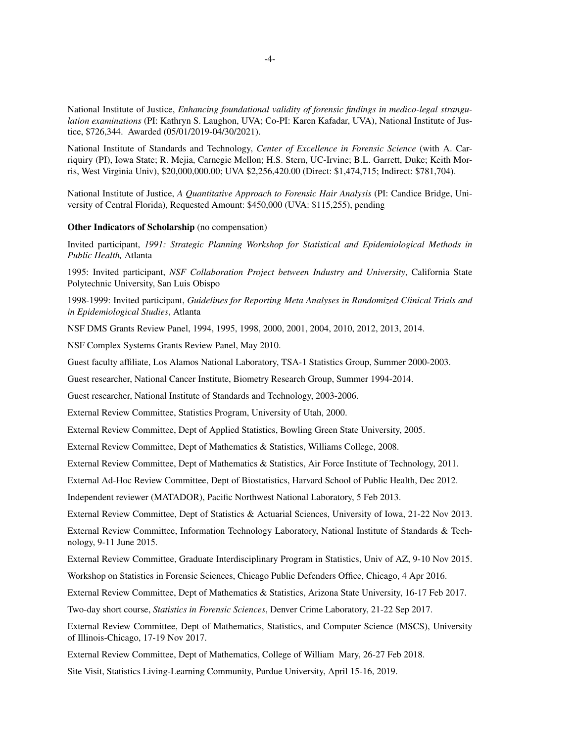National Institute of Justice, *Enhancing foundational validity of forensic findings in medico-legal strangulation examinations* (PI: Kathryn S. Laughon, UVA; Co-PI: Karen Kafadar, UVA), National Institute of Justice, \$726,344. Awarded (05/01/2019-04/30/2021).

National Institute of Standards and Technology, *Center of Excellence in Forensic Science* (with A. Carriquiry (PI), Iowa State; R. Mejia, Carnegie Mellon; H.S. Stern, UC-Irvine; B.L. Garrett, Duke; Keith Morris, West Virginia Univ), \$20,000,000.00; UVA \$2,256,420.00 (Direct: \$1,474,715; Indirect: \$781,704).

National Institute of Justice, *A Quantitative Approach to Forensic Hair Analysis* (PI: Candice Bridge, University of Central Florida), Requested Amount: \$450,000 (UVA: \$115,255), pending

#### **Other Indicators of Scholarship** (no compensation)

Invited participant, *1991: Strategic Planning Workshop for Statistical and Epidemiological Methods in Public Health,* Atlanta

1995: Invited participant, *NSF Collaboration Project between Industry and University*, California State Polytechnic University, San Luis Obispo

1998-1999: Invited participant, *Guidelines for Reporting Meta Analyses in Randomized Clinical Trials and in Epidemiological Studies*, Atlanta

NSF DMS Grants Review Panel, 1994, 1995, 1998, 2000, 2001, 2004, 2010, 2012, 2013, 2014.

NSF Complex Systems Grants Review Panel, May 2010.

Guest faculty affiliate, Los Alamos National Laboratory, TSA-1 Statistics Group, Summer 2000-2003.

Guest researcher, National Cancer Institute, Biometry Research Group, Summer 1994-2014.

Guest researcher, National Institute of Standards and Technology, 2003-2006.

External Review Committee, Statistics Program, University of Utah, 2000.

External Review Committee, Dept of Applied Statistics, Bowling Green State University, 2005.

External Review Committee, Dept of Mathematics & Statistics, Williams College, 2008.

External Review Committee, Dept of Mathematics & Statistics, Air Force Institute of Technology, 2011.

External Ad-Hoc Review Committee, Dept of Biostatistics, Harvard School of Public Health, Dec 2012.

Independent reviewer (MATADOR), Pacific Northwest National Laboratory,5Feb 2013.

External Review Committee, Dept of Statistics & Actuarial Sciences, University of Iowa, 21-22 Nov 2013.

External Review Committee, Information Technology Laboratory, National Institute of Standards & Technology, 9-11 June 2015.

External Review Committee, Graduate Interdisciplinary Program in Statistics, Univ of AZ, 9-10 Nov 2015.

Workshop on Statistics in Forensic Sciences, Chicago Public Defenders Office, Chicago, 4 Apr 2016.

External Review Committee, Dept of Mathematics & Statistics, Arizona State University, 16-17 Feb 2017.

Tw o-day short course, *Statistics in Forensic Sciences*, Denver Crime Laboratory, 21-22 Sep 2017.

External Review Committee, Dept of Mathematics, Statistics, and Computer Science (MSCS), University of Illinois-Chicago, 17-19 Nov 2017.

External Review Committee, Dept of Mathematics, College of William Mary, 26-27 Feb 2018.

Site Visit, Statistics Living-Learning Community, Purdue University, April 15-16, 2019.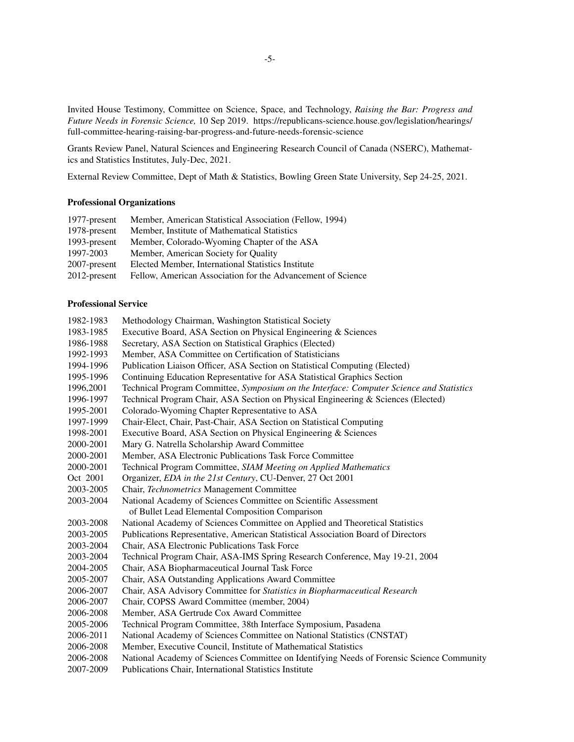Invited House Testimony, Committee on Science, Space, and Technology, *Raising the Bar: Progress and Future Needs in Forensic Science,* 10 Sep 2019. https://republicans-science.house.gov/legislation/hearings/ full-committee-hearing-raising-bar-progress-and-future-needs-forensic-science

Grants Review Panel, Natural Sciences and Engineering Research Council of Canada (NSERC), Mathematics and Statistics Institutes, July-Dec, 2021.

External Review Committee, Dept of Math & Statistics, Bowling Green State University, Sep 24-25, 2021.

### **Professional Organizations**

| 1977-present    | Member, American Statistical Association (Fellow, 1994)     |
|-----------------|-------------------------------------------------------------|
| 1978-present    | Member, Institute of Mathematical Statistics                |
| 1993-present    | Member, Colorado-Wyoming Chapter of the ASA                 |
| 1997-2003       | Member, American Society for Quality                        |
| $2007$ -present | Elected Member, International Statistics Institute          |
| $2012$ -present | Fellow, American Association for the Advancement of Science |

### **Professional Service**

| 1982-1983 | Methodology Chairman, Washington Statistical Society                                      |
|-----------|-------------------------------------------------------------------------------------------|
| 1983-1985 | Executive Board, ASA Section on Physical Engineering & Sciences                           |
| 1986-1988 | Secretary, ASA Section on Statistical Graphics (Elected)                                  |
| 1992-1993 | Member, ASA Committee on Certification of Statisticians                                   |
| 1994-1996 | Publication Liaison Officer, ASA Section on Statistical Computing (Elected)               |
| 1995-1996 | Continuing Education Representative for ASA Statistical Graphics Section                  |
| 1996,2001 | Technical Program Committee, Symposium on the Interface: Computer Science and Statistics  |
| 1996-1997 | Technical Program Chair, ASA Section on Physical Engineering & Sciences (Elected)         |
| 1995-2001 | Colorado-Wyoming Chapter Representative to ASA                                            |
| 1997-1999 | Chair-Elect, Chair, Past-Chair, ASA Section on Statistical Computing                      |
| 1998-2001 | Executive Board, ASA Section on Physical Engineering & Sciences                           |
| 2000-2001 | Mary G. Natrella Scholarship Award Committee                                              |
| 2000-2001 | Member, ASA Electronic Publications Task Force Committee                                  |
| 2000-2001 | Technical Program Committee, SIAM Meeting on Applied Mathematics                          |
| Oct 2001  | Organizer, EDA in the 21st Century, CU-Denver, 27 Oct 2001                                |
| 2003-2005 | Chair, Technometrics Management Committee                                                 |
| 2003-2004 | National Academy of Sciences Committee on Scientific Assessment                           |
|           | of Bullet Lead Elemental Composition Comparison                                           |
| 2003-2008 | National Academy of Sciences Committee on Applied and Theoretical Statistics              |
| 2003-2005 | Publications Representative, American Statistical Association Board of Directors          |
| 2003-2004 | Chair, ASA Electronic Publications Task Force                                             |
| 2003-2004 | Technical Program Chair, ASA-IMS Spring Research Conference, May 19-21, 2004              |
| 2004-2005 | Chair, ASA Biopharmaceutical Journal Task Force                                           |
| 2005-2007 | Chair, ASA Outstanding Applications Award Committee                                       |
| 2006-2007 | Chair, ASA Advisory Committee for Statistics in Biopharmaceutical Research                |
| 2006-2007 | Chair, COPSS Award Committee (member, 2004)                                               |
| 2006-2008 | Member, ASA Gertrude Cox Award Committee                                                  |
| 2005-2006 | Technical Program Committee, 38th Interface Symposium, Pasadena                           |
| 2006-2011 | National Academy of Sciences Committee on National Statistics (CNSTAT)                    |
| 2006-2008 | Member, Executive Council, Institute of Mathematical Statistics                           |
| 2006-2008 | National Academy of Sciences Committee on Identifying Needs of Forensic Science Community |
|           |                                                                                           |

2007-2009 Publications Chair, International Statistics Institute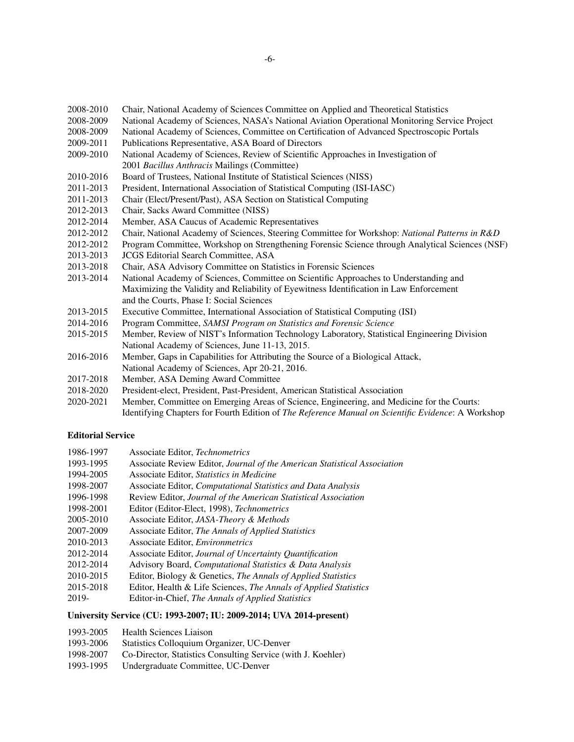- 2008-2010 Chair, National Academy of Sciences Committee on Applied and Theoretical Statistics
- 2008-2009 National Academy of Sciences, NASA's National Aviation Operational Monitoring Service Project
- 2008-2009 National Academy of Sciences, Committee on Certification of Advanced Spectroscopic Portals
- 2009-2011 Publications Representative, ASA Board of Directors
- 2009-2010 National Academy of Sciences, Review of Scientific Approaches in Investigation of 2001 *Bacillus Anthracis* Mailings (Committee)
- 2010-2016 Board of Trustees, National Institute of Statistical Sciences (NISS)
- 2011-2013 President, International Association of Statistical Computing (ISI-IASC)
- 2011-2013 Chair (Elect/Present/Past), ASA Section on Statistical Computing
- 2012-2013 Chair, Sacks Award Committee (NISS)
- 2012-2014 Member, ASA Caucus of Academic Representatives
- 2012-2012 Chair, National Academy of Sciences, Steering Committee for Workshop: *National Patterns in R&D*
- 2012-2012 Program Committee, Workshop on Strengthening Forensic Science through Analytical Sciences (NSF)
- 2013-2013 JCGS Editorial Search Committee, ASA
- 2013-2018 Chair, ASA Advisory Committee on Statistics in Forensic Sciences
- 2013-2014 National Academy of Sciences, Committee on Scientific Approaches to Understanding and Maximizing the Validity and Reliability of Eyewitness Identification in Law Enforcement and the Courts, Phase I: Social Sciences
- 2013-2015 Executive Committee, International Association of Statistical Computing (ISI)
- 2014-2016 Program Committee, *SAMSI Program on Statistics and Forensic Science*
- 2015-2015 Member, Review of NIST's Information Technology Laboratory, Statistical Engineering Division National Academy of Sciences, June 11-13, 2015.
- 2016-2016 Member, Gaps in Capabilities for Attributing the Source of a Biological Attack, National Academy of Sciences, Apr 20-21, 2016.
- 2017-2018 Member, ASA Deming Award Committee
- 2018-2020 President-elect, President, Past-President, American Statistical Association
- 2020-2021 Member, Committee on Emerging Areas of Science, Engineering, and Medicine for the Courts: Identifying Chapters for Fourth Edition of *The Reference Manual on Scientific Evidence*: A Workshop

# **Editorial Service**

- 1986-1997 Associate Editor, *Technometrics*
- 1993-1995 Associate Review Editor, *Journal of the American Statistical Association*
- 1994-2005 Associate Editor, *Statistics in Medicine*
- 1998-2007 Associate Editor, *Computational Statistics and Data Analysis*
- 1996-1998 Review Editor, *Journal of the American Statistical Association*
- 1998-2001 Editor (Editor-Elect, 1998), *Technometrics*
- 2005-2010 Associate Editor, *JASA-Theory & Methods*
- 2007-2009 Associate Editor, *The Annals of Applied Statistics*
- 2010-2013 Associate Editor, *Environmetrics*
- 2012-2014 Associate Editor, *Journal of Uncertainty Quantification*
- 2012-2014 Advisory Board, *Computational Statistics & Data Analysis*
- 2010-2015 Editor, Biology & Genetics, *The Annals of Applied Statistics*
- 2015-2018 Editor, Health & Life Sciences, *The Annals of Applied Statistics*
- 2019- Editor-in-Chief, *The Annals of Applied Statistics*

# **University Service (CU: 1993-2007; IU: 2009-2014; UVA 2014-present)**

- 1993-2005 Health Sciences Liaison
- 1993-2006 Statistics Colloquium Organizer, UC-Denver
- 1998-2007 Co-Director, Statistics Consulting Service (with J. Koehler)
- 1993-1995 Undergraduate Committee, UC-Denver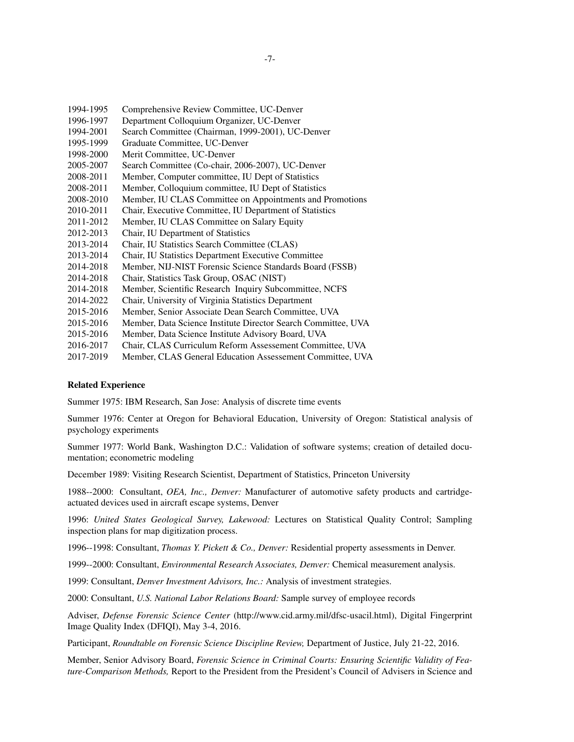- 1994-1995 Comprehensive Review Committee, UC-Denver
- 1996-1997 Department Colloquium Organizer, UC-Denver
- 1994-2001 Search Committee (Chairman, 1999-2001), UC-Denver
- 1995-1999 Graduate Committee, UC-Denver
- 1998-2000 Merit Committee, UC-Denver
- 2005-2007 Search Committee (Co-chair, 2006-2007), UC-Denver
- 2008-2011 Member, Computer committee, IU Dept of Statistics
- 2008-2011 Member, Colloquium committee, IU Dept of Statistics
- 2008-2010 Member, IU CLAS Committee on Appointments and Promotions
- 2010-2011 Chair, Executive Committee, IU Department of Statistics
- 2011-2012 Member, IU CLAS Committee on Salary Equity
- 2012-2013 Chair, IU Department of Statistics
- 2013-2014 Chair, IU Statistics Search Committee (CLAS)
- 2013-2014 Chair, IU Statistics Department Executive Committee
- 2014-2018 Member, NIJ-NIST Forensic Science Standards Board (FSSB)
- 2014-2018 Chair, Statistics Task Group, OSAC (NIST)
- 2014-2018 Member, Scientific Research Inquiry Subcommittee, NCFS
- 2014-2022 Chair, University of Virginia Statistics Department
- 2015-2016 Member, Senior Associate Dean Search Committee, UVA
- 2015-2016 Member, Data Science Institute Director Search Committee, UVA
- 2015-2016 Member, Data Science Institute Advisory Board, UVA
- 2016-2017 Chair, CLAS Curriculum Reform Assessement Committee, UVA<br>2017-2019 Member, CLAS General Education Assessement Committee, UV.
- Member, CLAS General Education Assessement Committee, UVA

### **Related Experience**

Summer 1975: IBM Research, San Jose: Analysis of discrete time events

Summer 1976: Center at Oregon for Behavioral Education, University of Oregon: Statistical analysis of psychology experiments

Summer 1977: World Bank, Washington D.C.: Validation of software systems; creation of detailed documentation; econometric modeling

December 1989: Visiting Research Scientist, Department of Statistics, Princeton University

1988--2000: Consultant, *OEA, Inc., Denver:* Manufacturer of automotive safety products and cartridgeactuated devices used in aircraft escape systems, Denver

1996: *United States Geological Survey, Lakewood:* Lectures on Statistical Quality Control; Sampling inspection plans for map digitization process.

1996--1998: Consultant, *Thomas Y. Pickett & Co., Denver:* Residential property assessments in Denver.

1999--2000: Consultant, *Environmental Research Associates, Denver:* Chemical measurement analysis.

1999: Consultant, *Denver Investment Advisors, Inc.:* Analysis of investment strategies.

2000: Consultant, *U.S. National Labor Relations Board:* Sample survey of employee records

Adviser, *Defense Forensic Science Center* (http://www.cid.army.mil/dfsc-usacil.html), Digital Fingerprint Image Quality Index (DFIQI), May 3-4, 2016.

Participant, *Roundtable on Forensic Science Discipline Review,* Department of Justice, July 21-22, 2016.

Member, Senior Advisory Board, *Forensic Science in Criminal Courts: Ensuring Scientific Validity of Feature-Comparison Methods,* Report to the President from the President's Council of Advisers in Science and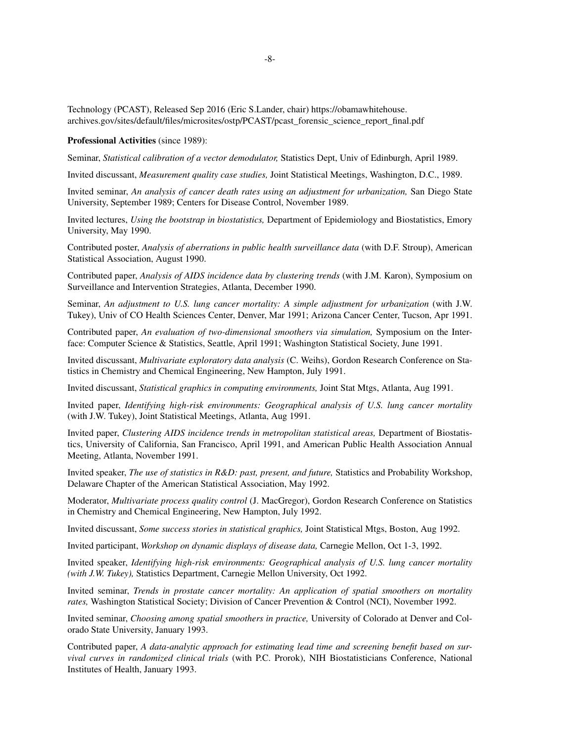Technology (PCAST), Released Sep 2016 (Eric S.Lander, chair) https://obamawhitehouse. archives.gov/sites/default/files/microsites/ostp/PCAST/pcast\_forensic\_science\_report\_final.pdf

#### **Professional Activities** (since 1989):

Seminar, *Statistical calibration of a vector demodulator,* Statistics Dept, Univ of Edinburgh, April 1989.

Invited discussant, *Measurement quality case studies,* Joint Statistical Meetings, Washington, D.C., 1989.

Invited seminar, *An analysis of cancer death rates using an adjustment for urbanization,* San Diego State University, September 1989; Centers for Disease Control, November 1989.

Invited lectures, *Using the bootstrap in biostatistics,* Department of Epidemiology and Biostatistics, Emory University, May 1990.

Contributed poster, *Analysis of aberrations in public health surveillance data* (with D.F. Stroup), American Statistical Association, August 1990.

Contributed paper, *Analysis of AIDS incidence data by clustering trends* (with J.M. Karon), Symposium on Surveillance and Intervention Strategies, Atlanta, December 1990.

Seminar, *An adjustment to U.S. lung cancer mortality: A simple adjustment for urbanization* (with J.W. Tukey), Univ of CO Health Sciences Center, Denver, Mar 1991; Arizona Cancer Center, Tucson, Apr 1991.

Contributed paper, *An evaluation of two-dimensional smoothers via simulation,* Symposium on the Interface: Computer Science & Statistics, Seattle, April 1991; Washington Statistical Society, June 1991.

Invited discussant, *Multivariate exploratory data analysis* (C. Weihs), Gordon Research Conference on Statistics in Chemistry and Chemical Engineering, New Hampton, July 1991.

Invited discussant, *Statistical graphics in computing environments,* Joint Stat Mtgs, Atlanta, Aug 1991.

Invited paper, *Identifying high-risk environments: Geographical analysis of U.S. lung cancer mortality* (with J.W. Tukey), Joint Statistical Meetings, Atlanta, Aug 1991.

Invited paper, *Clustering AIDS incidence trends in metropolitan statistical areas,* Department of Biostatistics, University of California, San Francisco, April 1991, and American Public Health Association Annual Meeting, Atlanta, November 1991.

Invited speaker, *The use of statistics in R&D: past, present, and future,* Statistics and Probability Workshop, Delaware Chapter of the American Statistical Association, May 1992.

Moderator, *Multivariate process quality control* (J. MacGregor), Gordon Research Conference on Statistics in Chemistry and Chemical Engineering, New Hampton, July 1992.

Invited discussant, *Some success stories in statistical graphics,* Joint Statistical Mtgs, Boston, Aug 1992.

Invited participant, *Workshop on dynamic displays of disease data,* Carnegie Mellon, Oct 1-3, 1992.

Invited speaker, *Identifying high-risk environments: Geographical analysis of U.S. lung cancer mortality (with J.W. Tukey),* Statistics Department, Carnegie Mellon University, Oct 1992.

Invited seminar, *Trends in prostate cancer mortality: An application of spatial smoothers on mortality rates,* Washington Statistical Society; Division of Cancer Prevention & Control (NCI), November 1992.

Invited seminar, *Choosing among spatial smoothers in practice,* University of Colorado at Denver and Colorado State University, January 1993.

Contributed paper, *A data-analytic approach for estimating lead time and screening benefit based on survival curves in randomized clinical trials* (with P.C. Prorok), NIH Biostatisticians Conference, National Institutes of Health, January 1993.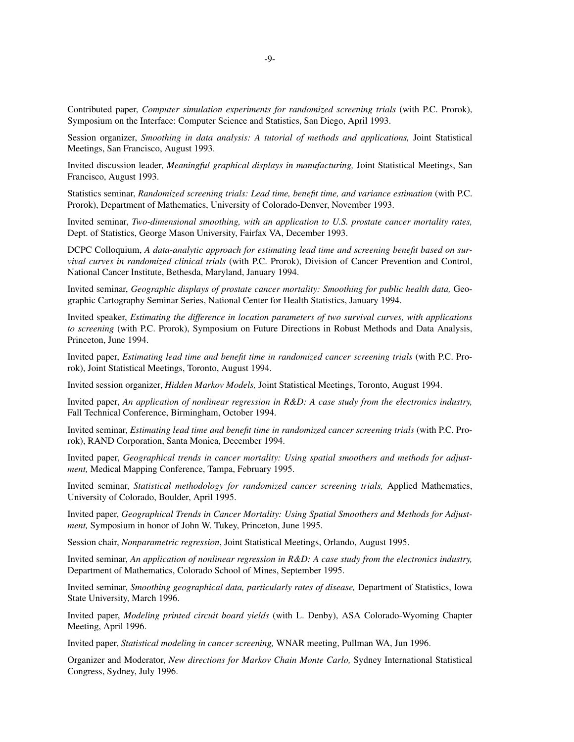Contributed paper, *Computer simulation experiments for randomized screening trials* (with P.C. Prorok), Symposium on the Interface: Computer Science and Statistics, San Diego, April 1993.

Session organizer, *Smoothing in data analysis: A tutorial of methods and applications,* Joint Statistical Meetings, San Francisco, August 1993.

Invited discussion leader, *Meaningful graphical displays in manufacturing,* Joint Statistical Meetings, San Francisco, August 1993.

Statistics seminar, *Randomized screening trials: Lead time, benefit time, and variance estimation* (with P.C. Prorok), Department of Mathematics, University of Colorado-Denver, November 1993.

Invited seminar, *Two-dimensional smoothing, with an application to U.S. prostate cancer mortality rates,* Dept. of Statistics, George Mason University, Fairfax VA, December 1993.

DCPC Colloquium, *A data-analytic approach for estimating lead time and screening benefit based on survival curves in randomized clinical trials* (with P.C. Prorok), Division of Cancer Prevention and Control, National Cancer Institute, Bethesda, Maryland, January 1994.

Invited seminar, *Geographic displays of prostate cancer mortality: Smoothing for public health data,* Geographic Cartography Seminar Series, National Center for Health Statistics, January 1994.

Invited speaker, *Estimating the difference in location parameters of two survival curves, with applications to screening* (with P.C. Prorok), Symposium on Future Directions in Robust Methods and Data Analysis, Princeton, June 1994.

Invited paper, *Estimating lead time and benefit time in randomized cancer screening trials* (with P.C. Prorok), Joint Statistical Meetings, Toronto, August 1994.

Invited session organizer, *Hidden Markov Models,* Joint Statistical Meetings, Toronto, August 1994.

Invited paper, *An application of nonlinear regression in R&D: A case study from the electronics industry,* Fall Technical Conference, Birmingham, October 1994.

Invited seminar, *Estimating lead time and benefit time in randomized cancer screening trials* (with P.C. Prorok), RAND Corporation, Santa Monica, December 1994.

Invited paper, *Geographical trends in cancer mortality: Using spatial smoothers and methods for adjustment,* Medical Mapping Conference, Tampa, February 1995.

Invited seminar, *Statistical methodology for randomized cancer screening trials,* Applied Mathematics, University of Colorado, Boulder, April 1995.

Invited paper, *Geographical Trends in Cancer Mortality: Using Spatial Smoothers and Methods for Adjustment,* Symposium in honor of John W. Tukey, Princeton, June 1995.

Session chair, *Nonparametric regression*, Joint Statistical Meetings, Orlando, August 1995.

Invited seminar, *An application of nonlinear regression in R&D: A case study from the electronics industry,* Department of Mathematics, Colorado School of Mines, September 1995.

Invited seminar, *Smoothing geographical data, particularly rates of disease,* Department of Statistics, Iowa State University, March 1996.

Invited paper, *Modeling printed circuit board yields* (with L. Denby), ASA Colorado-Wyoming Chapter Meeting, April 1996.

Invited paper, *Statistical modeling in cancer screening,* WNAR meeting, Pullman WA, Jun 1996.

Organizer and Moderator, *New directions for Markov Chain Monte Carlo,* Sydney International Statistical Congress, Sydney, July 1996.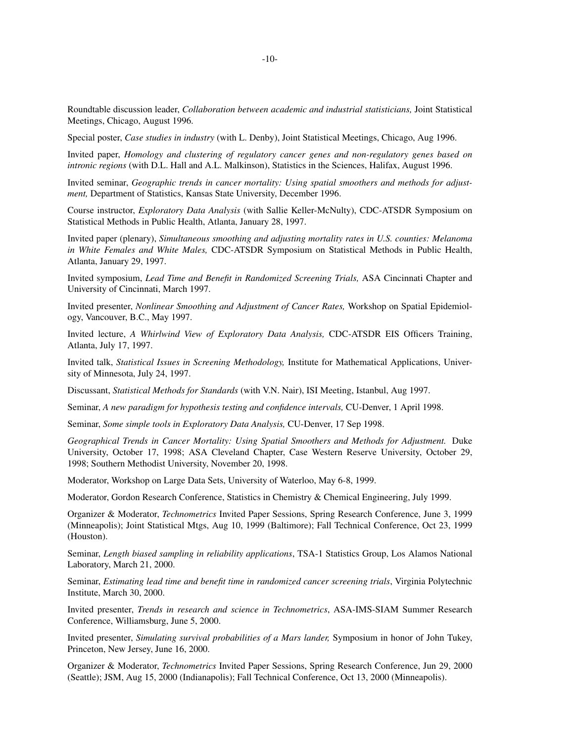Roundtable discussion leader, *Collaboration between academic and industrial statisticians,* Joint Statistical Meetings, Chicago, August 1996.

Special poster, *Case studies in industry* (with L. Denby), Joint Statistical Meetings, Chicago, Aug 1996.

Invited paper, *Homology and clustering of regulatory cancer genes and non-regulatory genes based on intronic regions* (with D.L. Hall and A.L. Malkinson), Statistics in the Sciences, Halifax, August 1996.

Invited seminar, *Geographic trends in cancer mortality: Using spatial smoothers and methods for adjustment,* Department of Statistics, Kansas State University, December 1996.

Course instructor, *Exploratory Data Analysis* (with Sallie Keller-McNulty), CDC-ATSDR Symposium on Statistical Methods in Public Health, Atlanta, January 28, 1997.

Invited paper (plenary), *Simultaneous smoothing and adjusting mortality rates in U.S. counties: Melanoma in White Females and White Males,* CDC-ATSDR Symposium on Statistical Methods in Public Health, Atlanta, January 29, 1997.

Invited symposium, *Lead Time and Benefit in Randomized Screening Trials,* ASA Cincinnati Chapter and University of Cincinnati, March 1997.

Invited presenter, *Nonlinear Smoothing and Adjustment of Cancer Rates,* Workshop on Spatial Epidemiology, Vancouver, B.C., May 1997.

Invited lecture, *A Whirlwind View of Exploratory Data Analysis,* CDC-ATSDR EIS Officers Training, Atlanta, July 17, 1997.

Invited talk, *Statistical Issues in Screening Methodology,* Institute for Mathematical Applications, University of Minnesota, July 24, 1997.

Discussant, *Statistical Methods for Standards* (with V.N. Nair), ISI Meeting, Istanbul, Aug 1997.

Seminar, *A new paradigm for hypothesis testing and confidence intervals,* CU-Denver, 1 April 1998.

Seminar, *Some simple tools in Exploratory Data Analysis,* CU-Denver, 17 Sep 1998.

*Geographical Trends in Cancer Mortality: Using Spatial Smoothers and Methods for Adjustment.* Duke University, October 17, 1998; ASA Cleveland Chapter, Case Western Reserve University, October 29, 1998; Southern Methodist University, November 20, 1998.

Moderator, Workshop on Large Data Sets, University of Waterloo, May 6-8, 1999.

Moderator, Gordon Research Conference, Statistics in Chemistry & Chemical Engineering, July 1999.

Organizer & Moderator, *Technometrics* Invited Paper Sessions, Spring Research Conference, June 3, 1999 (Minneapolis); Joint Statistical Mtgs, Aug 10, 1999 (Baltimore); Fall Technical Conference, Oct 23, 1999 (Houston).

Seminar, *Length biased sampling in reliability applications*, TSA-1 Statistics Group, Los Alamos National Laboratory, March 21, 2000.

Seminar, *Estimating lead time and benefit time in randomized cancer screening trials*, Virginia Polytechnic Institute, March 30, 2000.

Invited presenter, *Trends in research and science in Technometrics*, ASA-IMS-SIAM Summer Research Conference, Williamsburg, June 5, 2000.

Invited presenter, *Simulating survival probabilities of a Mars lander,* Symposium in honor of John Tukey, Princeton, New Jersey, June 16, 2000.

Organizer & Moderator, *Technometrics* Invited Paper Sessions, Spring Research Conference, Jun 29, 2000 (Seattle); JSM, Aug 15, 2000 (Indianapolis); Fall Technical Conference, Oct 13, 2000 (Minneapolis).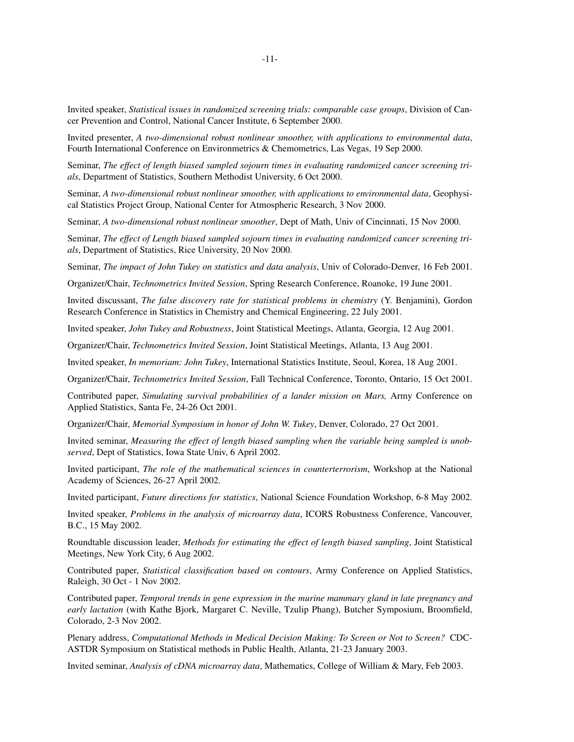Invited speaker, *Statistical issues in randomized screening trials: comparable case groups*, Division of Cancer Prevention and Control, National Cancer Institute, 6 September 2000.

Invited presenter, *A two-dimensional robust nonlinear smoother, with applications to environmental data*, Fourth International Conference on Environmetrics & Chemometrics, Las Vegas, 19 Sep 2000.

Seminar, *The effect of length biased sampled sojourn times in evaluating randomized cancer screening trials*, Department of Statistics, Southern Methodist University,6Oct 2000.

Seminar, *A two-dimensional robust nonlinear smoother, with applications to environmental data*, Geophysical Statistics Project Group, National Center for Atmospheric Research, 3 Nov 2000.

Seminar, *A two-dimensional robust nonlinear smoother*, Dept of Math, Univ of Cincinnati, 15 Nov 2000.

Seminar, *The effect of Length biased sampled sojourn times in evaluating randomized cancer screening trials*, Department of Statistics, Rice University, 20 Nov 2000.

Seminar, *The impact of John Tukey on statistics and data analysis*, Univ of Colorado-Denver, 16 Feb 2001.

Organizer/Chair, *Technometrics Invited Session*, Spring Research Conference, Roanoke, 19 June 2001.

Invited discussant, *The false discovery rate for statistical problems in chemistry* (Y. Benjamini), Gordon Research Conference in Statistics in Chemistry and Chemical Engineering, 22 July 2001.

Invited speaker, *John Tukey and Robustness*, Joint Statistical Meetings, Atlanta, Georgia, 12 Aug 2001.

Organizer/Chair, *Technometrics Invited Session*, Joint Statistical Meetings, Atlanta, 13 Aug 2001.

Invited speaker, *In memoriam: John Tukey*, International Statistics Institute, Seoul, Korea, 18 Aug 2001.

Organizer/Chair, *Technometrics Invited Session*, Fall Technical Conference, Toronto, Ontario, 15 Oct 2001.

Contributed paper, *Simulating survival probabilities of a lander mission on Mars,* Army Conference on Applied Statistics, Santa Fe, 24-26 Oct 2001.

Organizer/Chair, *Memorial Symposium in honor of John W. Tukey*, Denver, Colorado, 27 Oct 2001.

Invited seminar, *Measuring the effect of length biased sampling when the variable being sampled is unobserved*, Dept of Statistics, Iowa State Univ, 6 April 2002.

Invited participant, *The role of the mathematical sciences in counterterrorism*, Workshop at the National Academy of Sciences, 26-27 April 2002.

Invited participant, *Future directions for statistics*, National Science Foundation Workshop, 6-8 May 2002.

Invited speaker, *Problems in the analysis of microarray data*, ICORS Robustness Conference, Vancouver, B.C., 15 May 2002.

Roundtable discussion leader, *Methods for estimating the effect of length biased sampling*, Joint Statistical Meetings, New York City, 6 Aug 2002.

Contributed paper, *Statistical classification based on contours*, Army Conference on Applied Statistics, Raleigh, 30 Oct - 1 Nov 2002.

Contributed paper, *Temporal trends in gene expression in the murine mammary gland in late pregnancy and early lactation* (with Kathe Bjork, Margaret C. Neville, Tzulip Phang), Butcher Symposium, Broomfield, Colorado, 2-3 Nov 2002.

Plenary address, *Computational Methods in Medical Decision Making: To Screen or Not to Screen?* CDC-ASTDR Symposium on Statistical methods in Public Health, Atlanta, 21-23 January 2003.

Invited seminar, *Analysis of cDNA microarray data*, Mathematics, College of William & Mary, Feb 2003.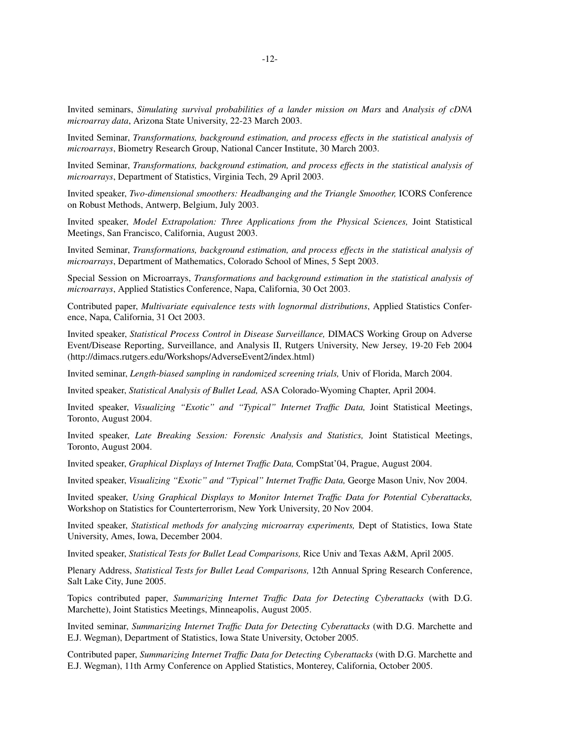Invited seminars, *Simulating survival probabilities of a lander mission on Mars* and *Analysis of cDNA microarray data*, Arizona State University, 22-23 March 2003.

Invited Seminar, *Transformations, background estimation, and process effects in the statistical analysis of microarrays*, Biometry Research Group, National Cancer Institute, 30 March 2003.

Invited Seminar, *Transformations, background estimation, and process effects in the statistical analysis of microarrays*, Department of Statistics, Virginia Tech, 29 April 2003.

Invited speaker, *Two-dimensional smoothers: Headbanging and the Triangle Smoother,* ICORS Conference on Robust Methods, Antwerp, Belgium, July 2003.

Invited speaker, *Model Extrapolation: Three Applications from the Physical Sciences,* Joint Statistical Meetings, San Francisco, California, August 2003.

Invited Seminar, *Transformations, background estimation, and process effects in the statistical analysis of microarrays*, Department of Mathematics, Colorado School of Mines, 5 Sept 2003.

Special Session on Microarrays, *Transformations and background estimation in the statistical analysis of microarrays*, Applied Statistics Conference, Napa, California, 30 Oct 2003.

Contributed paper, *Multivariate equivalence tests with lognormal distributions*, Applied Statistics Conference, Napa, California, 31 Oct 2003.

Invited speaker, *Statistical Process Control in Disease Surveillance,* DIMACS Working Group on Adverse Event/Disease Reporting, Surveillance, and Analysis II, Rutgers University, New Jersey, 19-20 Feb 2004 (http://dimacs.rutgers.edu/Workshops/AdverseEvent2/index.html)

Invited seminar, *Length-biased sampling in randomized screening trials,* Univ of Florida, March 2004.

Invited speaker, *Statistical Analysis of Bullet Lead,* ASA Colorado-Wyoming Chapter, April 2004.

Invited speaker, *Visualizing ''Exotic'' and ''Typical'' Internet Traffic Data,* Joint Statistical Meetings, Toronto, August 2004.

Invited speaker, *Late Breaking Session: Forensic Analysis and Statistics,* Joint Statistical Meetings, Toronto, August 2004.

Invited speaker, *Graphical Displays of Internet Traffic Data,* CompStat'04, Prague, August 2004.

Invited speaker, *Visualizing ''Exotic'' and ''Typical'' Internet Traffic Data,* George Mason Univ, Nov 2004.

Invited speaker, *Using Graphical Displays to Monitor Internet Traffic Data for Potential Cyberattacks,* Workshop on Statistics for Counterterrorism, New York University, 20 Nov 2004.

Invited speaker, *Statistical methods for analyzing microarray experiments,* Dept of Statistics, Iowa State University, Ames, Iowa, December 2004.

Invited speaker, *Statistical Tests for Bullet Lead Comparisons,* Rice Univ and Texas A&M, April 2005.

Plenary Address, *Statistical Tests for Bullet Lead Comparisons,* 12th Annual Spring Research Conference, Salt Lake City, June 2005.

Topics contributed paper, *Summarizing Internet Traffic Data for Detecting Cyberattacks* (with D.G. Marchette), Joint Statistics Meetings, Minneapolis, August 2005.

Invited seminar, *Summarizing Internet Traffic Data for Detecting Cyberattacks* (with D.G. Marchette and E.J. Wegman), Department of Statistics, Iowa State University, October 2005.

Contributed paper, *Summarizing Internet Traffic Data for Detecting Cyberattacks* (with D.G. Marchette and E.J. Wegman), 11th Army Conference on Applied Statistics, Monterey, California, October 2005.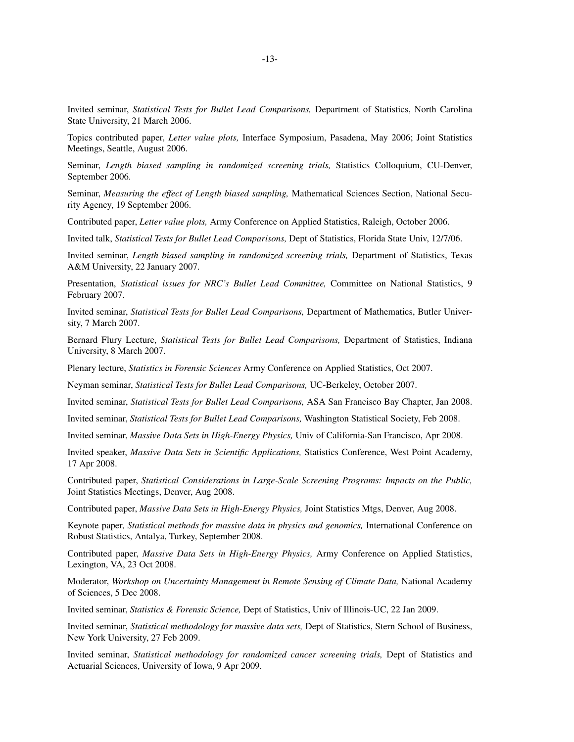Invited seminar, *Statistical Tests for Bullet Lead Comparisons,* Department of Statistics, North Carolina State University, 21 March 2006.

Topics contributed paper, *Letter value plots,* Interface Symposium, Pasadena, May 2006; Joint Statistics Meetings, Seattle, August 2006.

Seminar, *Length biased sampling in randomized screening trials,* Statistics Colloquium, CU-Denver, September 2006.

Seminar, *Measuring the effect of Length biased sampling,* Mathematical Sciences Section, National Security Agency, 19 September 2006.

Contributed paper, *Letter value plots,* Army Conference on Applied Statistics, Raleigh, October 2006.

Invited talk, *Statistical Tests for Bullet Lead Comparisons,* Dept of Statistics, Florida State Univ, 12/7/06.

Invited seminar, *Length biased sampling in randomized screening trials,* Department of Statistics, Texas A&M University, 22 January 2007.

Presentation, *Statistical issues for NRC's Bullet Lead Committee,* Committee on National Statistics, 9 February 2007.

Invited seminar, *Statistical Tests for Bullet Lead Comparisons,* Department of Mathematics, Butler University, 7 March 2007.

Bernard Flury Lecture, *Statistical Tests for Bullet Lead Comparisons,* Department of Statistics, Indiana University,8March 2007.

Plenary lecture, *Statistics in Forensic Sciences* Army Conference on Applied Statistics, Oct 2007.

Neyman seminar, *Statistical Tests for Bullet Lead Comparisons,* UC-Berkeley, October 2007.

Invited seminar, *Statistical Tests for Bullet Lead Comparisons,* ASA San Francisco Bay Chapter, Jan 2008.

Invited seminar, *Statistical Tests for Bullet Lead Comparisons,* Washington Statistical Society, Feb 2008.

Invited seminar, *Massive Data Sets in High-Energy Physics,* Univ of California-San Francisco, Apr 2008.

Invited speaker, *Massive Data Sets in Scientific Applications,* Statistics Conference, West Point Academy, 17 Apr 2008.

Contributed paper, *Statistical Considerations in Large-Scale Screening Programs: Impacts on the Public,* Joint Statistics Meetings, Denver, Aug 2008.

Contributed paper, *Massive Data Sets in High-Energy Physics,* Joint Statistics Mtgs, Denver, Aug 2008.

Keynote paper, *Statistical methods for massive data in physics and genomics*, International Conference on Robust Statistics, Antalya, Turkey, September 2008.

Contributed paper, *Massive Data Sets in High-Energy Physics,* Army Conference on Applied Statistics, Lexington, VA, 23 Oct 2008.

Moderator, *Workshop on Uncertainty Management in Remote Sensing of Climate Data,* National Academy of Sciences, 5 Dec 2008.

Invited seminar, *Statistics & Forensic Science,* Dept of Statistics, Univ of Illinois-UC, 22 Jan 2009.

Invited seminar, *Statistical methodology for massive data sets,* Dept of Statistics, Stern School of Business, New York University, 27 Feb 2009.

Invited seminar, *Statistical methodology for randomized cancer screening trials,* Dept of Statistics and Actuarial Sciences, University of Iowa, 9 Apr 2009.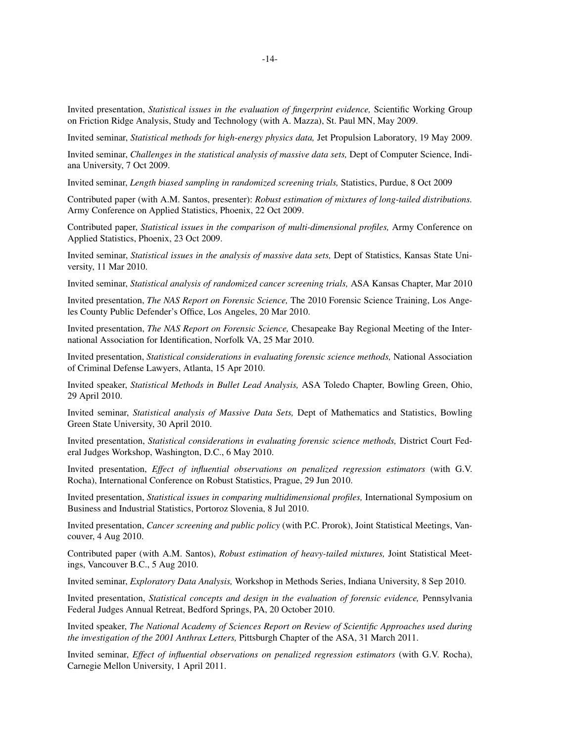Invited presentation, *Statistical issues in the evaluation of fingerprint evidence,* Scientific Working Group on Friction Ridge Analysis, Study and Technology (with A. Mazza), St. Paul MN, May 2009.

Invited seminar, *Statistical methods for high-energy physics data,* Jet Propulsion Laboratory, 19 May 2009.

Invited seminar, *Challenges in the statistical analysis of massive data sets,* Dept of Computer Science, Indiana University,7Oct 2009.

Invited seminar, *Length biased sampling in randomized screening trials,* Statistics, Purdue, 8 Oct 2009

Contributed paper (with A.M. Santos, presenter): *Robust estimation of mixtures of long-tailed distributions.* Army Conference on Applied Statistics, Phoenix, 22 Oct 2009.

Contributed paper, *Statistical issues in the comparison of multi-dimensional profiles,* Army Conference on Applied Statistics, Phoenix, 23 Oct 2009.

Invited seminar, *Statistical issues in the analysis of massive data sets,* Dept of Statistics, Kansas State University, 11 Mar 2010.

Invited seminar, *Statistical analysis of randomized cancer screening trials,* ASA Kansas Chapter, Mar 2010

Invited presentation, *The NAS Report on Forensic Science,* The 2010 Forensic Science Training, Los Angeles County Public Defender's Office, Los Angeles, 20 Mar 2010.

Invited presentation, *The NAS Report on Forensic Science,* Chesapeake Bay Regional Meeting of the International Association for Identification, Norfolk VA, 25 Mar 2010.

Invited presentation, *Statistical considerations in evaluating forensic science methods,* National Association of Criminal Defense Lawyers, Atlanta, 15 Apr 2010.

Invited speaker, *Statistical Methods in Bullet Lead Analysis,* ASA Toledo Chapter, Bowling Green, Ohio, 29 April 2010.

Invited seminar, *Statistical analysis of Massive Data Sets,* Dept of Mathematics and Statistics, Bowling Green State University, 30 April 2010.

Invited presentation, *Statistical considerations in evaluating forensic science methods,* District Court Federal Judges Workshop, Washington, D.C., 6 May 2010.

Invited presentation, *Effect of influential observations on penalized regression estimators* (with G.V. Rocha), International Conference on Robust Statistics, Prague, 29 Jun 2010.

Invited presentation, *Statistical issues in comparing multidimensional profiles,* International Symposium on Business and Industrial Statistics, Portoroz Slovenia, 8 Jul 2010.

Invited presentation, *Cancer screening and public policy* (with P.C. Prorok), Joint Statistical Meetings, Vancouver,4Aug 2010.

Contributed paper (with A.M. Santos), *Robust estimation of heavy-tailed mixtures,* Joint Statistical Meetings, Vancouver B.C., 5 Aug 2010.

Invited seminar, *Exploratory Data Analysis,* Workshop in Methods Series, Indiana University,8Sep 2010.

Invited presentation, *Statistical concepts and design in the evaluation of forensic evidence,* Pennsylvania Federal Judges Annual Retreat, Bedford Springs, PA, 20 October 2010.

Invited speaker, *The National Academy of Sciences Report on Review of Scientific Approaches used during the investigation of the 2001 Anthrax Letters,* Pittsburgh Chapter of the ASA, 31 March 2011.

Invited seminar, *Effect of influential observations on penalized regression estimators* (with G.V. Rocha), Carnegie Mellon University,1April 2011.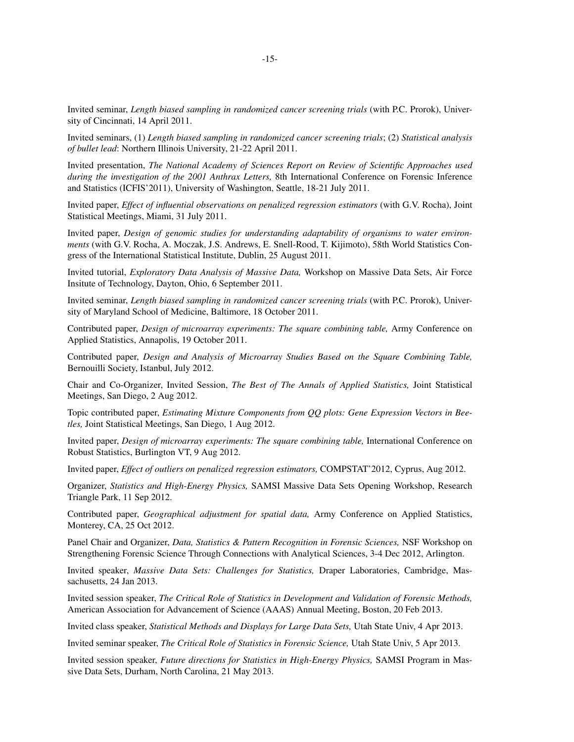Invited seminar, *Length biased sampling in randomized cancer screening trials* (with P.C. Prorok), University of Cincinnati, 14 April 2011.

Invited seminars, (1) *Length biased sampling in randomized cancer screening trials*; (2) *Statistical analysis of bullet lead*: Northern Illinois University, 21-22 April 2011.

Invited presentation, *The National Academy of Sciences Report on Review of Scientific Approaches used during the investigation of the 2001 Anthrax Letters,* 8th International Conference on Forensic Inference and Statistics (ICFIS'2011), University of Washington, Seattle, 18-21 July 2011.

Invited paper, *Effect of influential observations on penalized regression estimators* (with G.V. Rocha), Joint Statistical Meetings, Miami, 31 July 2011.

Invited paper, *Design of genomic studies for understanding adaptability of organisms to water environments* (with G.V. Rocha, A. Moczak, J.S. Andrews, E. Snell-Rood, T. Kijimoto), 58th World Statistics Congress of the International Statistical Institute, Dublin, 25 August 2011.

Invited tutorial, *Exploratory Data Analysis of Massive Data,* Workshop on Massive Data Sets, Air Force Insitute of Technology, Dayton, Ohio, 6 September 2011.

Invited seminar, *Length biased sampling in randomized cancer screening trials* (with P.C. Prorok), University of Maryland School of Medicine, Baltimore, 18 October 2011.

Contributed paper, *Design of microarray experiments: The square combining table,* Army Conference on Applied Statistics, Annapolis, 19 October 2011.

Contributed paper, *Design and Analysis of Microarray Studies Based on the Square Combining Table,* Bernouilli Society, Istanbul, July 2012.

Chair and Co-Organizer, Invited Session, *The Best of The Annals of Applied Statistics,* Joint Statistical Meetings, San Diego, 2 Aug 2012.

Topic contributed paper, *Estimating Mixture Components from QQ plots: Gene Expression Vectors in Beetles,* Joint Statistical Meetings, San Diego, 1 Aug 2012.

Invited paper, *Design of microarray experiments: The square combining table,* International Conference on Robust Statistics, Burlington VT,9Aug 2012.

Invited paper, *Effect of outliers on penalized regression estimators,* COMPSTAT'2012, Cyprus, Aug 2012.

Organizer, *Statistics and High-Energy Physics,* SAMSI Massive Data Sets Opening Workshop, Research Triangle Park, 11 Sep 2012.

Contributed paper, *Geographical adjustment for spatial data,* Army Conference on Applied Statistics, Monterey, CA, 25 Oct 2012.

Panel Chair and Organizer, *Data, Statistics & Pattern Recognition in Forensic Sciences,* NSF Workshop on Strengthening Forensic Science Through Connections with Analytical Sciences, 3-4 Dec 2012, Arlington.

Invited speaker, *Massive Data Sets: Challenges for Statistics,* Draper Laboratories, Cambridge, Massachusetts, 24 Jan 2013.

Invited session speaker, *The Critical Role of Statistics in Development and Validation of Forensic Methods,* American Association for Advancement of Science (AAAS) Annual Meeting, Boston, 20 Feb 2013.

Invited class speaker, *Statistical Methods and Displays for Large Data Sets,* Utah State Univ, 4 Apr 2013.

Invited seminar speaker, *The Critical Role of Statistics in Forensic Science,* Utah State Univ, 5 Apr 2013.

Invited session speaker, *Future directions for Statistics in High-Energy Physics,* SAMSI Program in Massive Data Sets, Durham, North Carolina, 21 May 2013.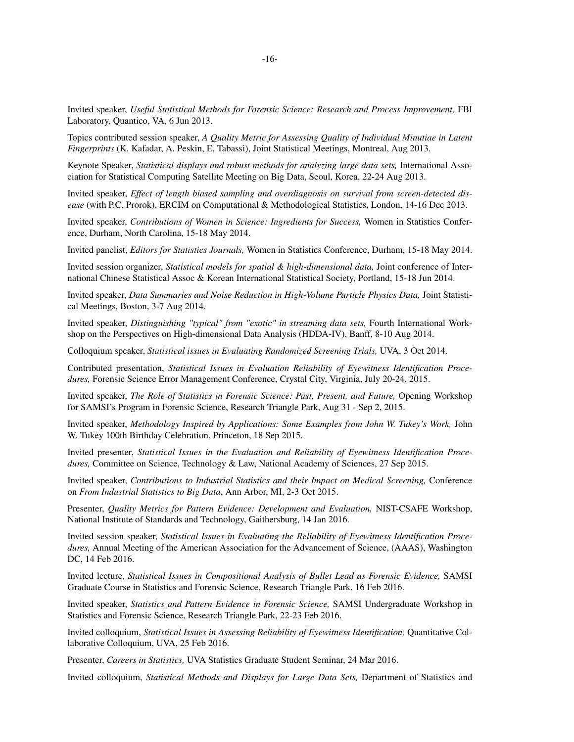Invited speaker, *Useful Statistical Methods for Forensic Science: Research and Process Improvement,* FBI Laboratory, Quantico, VA, 6 Jun 2013.

Topics contributed session speaker, *A Quality Metric for Assessing Quality of Individual Minutiae in Latent Fingerprints* (K. Kafadar, A. Peskin, E. Tabassi), Joint Statistical Meetings, Montreal, Aug 2013.

Ke ynote Speaker, *Statistical displays and robust methods for analyzing large data sets,* International Association for Statistical Computing Satellite Meeting on Big Data, Seoul, Korea, 22-24 Aug 2013.

Invited speaker, *Effect of length biased sampling and overdiagnosis on survival from screen-detected disease* (with P.C. Prorok), ERCIM on Computational & Methodological Statistics, London, 14-16 Dec 2013.

Invited speaker, *Contributions of Women in Science: Ingredients for Success,* Women in Statistics Conference, Durham, North Carolina, 15-18 May 2014.

Invited panelist, *Editors for Statistics Journals,* Women in Statistics Conference, Durham, 15-18 May 2014.

Invited session organizer, *Statistical models for spatial & high-dimensional data,* Joint conference of International Chinese Statistical Assoc & Korean International Statistical Society, Portland, 15-18 Jun 2014.

Invited speaker, *Data Summaries and Noise Reduction in High-Volume Particle Physics Data,* Joint Statistical Meetings, Boston, 3-7 Aug 2014.

Invited speaker, *Distinguishing "typical" from "exotic" in streaming data sets,* Fourth International Workshop on the Perspectives on High-dimensional Data Analysis (HDDA-IV), Banff, 8-10 Aug 2014.

Colloquium speaker, *Statistical issues in Evaluating Randomized Screening Trials,* UVA, 3 Oct 2014.

Contributed presentation, *Statistical Issues in Evaluation Reliability of Eyewitness Identification Procedures,* Forensic Science Error Management Conference, Crystal City, Virginia, July 20-24, 2015.

Invited speaker, *The Role of Statistics in Forensic Science: Past, Present, and Future,* Opening Workshop for SAMSI's Program in Forensic Science, Research Triangle Park, Aug 31 - Sep 2, 2015.

Invited speaker, *Methodology Inspired by Applications: Some Examples from John W. Tukey's Work,* John W. Tukey 100th Birthday Celebration, Princeton, 18 Sep 2015.

Invited presenter, *Statistical Issues in the Evaluation and Reliability of Eyewitness Identification Procedures,* Committee on Science, Technology & Law, National Academy of Sciences, 27 Sep 2015.

Invited speaker, *Contributions to Industrial Statistics and their Impact on Medical Screening,* Conference on *From Industrial Statistics to Big Data*, Ann Arbor, MI, 2-3 Oct 2015.

Presenter, *Quality Metrics for Pattern Evidence: Development and Evaluation,* NIST-CSAFE Workshop, National Institute of Standards and Technology, Gaithersburg, 14 Jan 2016.

Invited session speaker, *Statistical Issues in Evaluating the Reliability of Eyewitness Identification Procedures,* Annual Meeting of the American Association for the Advancement of Science, (AAAS), Washington DC, 14 Feb 2016.

Invited lecture, *Statistical Issues in Compositional Analysis of Bullet Lead as Forensic Evidence,* SAMSI Graduate Course in Statistics and Forensic Science, Research Triangle Park, 16 Feb 2016.

Invited speaker, *Statistics and Pattern Evidence in Forensic Science,* SAMSI Undergraduate Workshop in Statistics and Forensic Science, Research Triangle Park, 22-23 Feb 2016.

Invited colloquium, *Statistical Issues in Assessing Reliability of Eyewitness Identification,* Quantitative Collaborative Colloquium, UVA, 25 Feb 2016.

Presenter, *Careers in Statistics,* UVA Statistics Graduate Student Seminar, 24 Mar 2016.

Invited colloquium, *Statistical Methods and Displays for Large Data Sets,* Department of Statistics and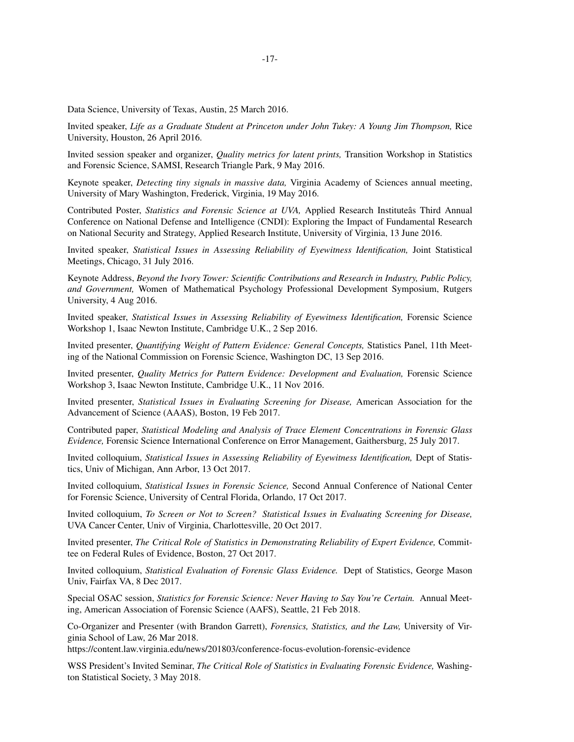Data Science, University of Texas, Austin, 25 March 2016.

Invited speaker, *Life as a Graduate Student at Princeton under John Tukey:AYoung Jim Thompson,* Rice University, Houston, 26 April 2016.

Invited session speaker and organizer, *Quality metrics for latent prints,* Transition Workshop in Statistics and Forensic Science, SAMSI, Research Triangle Park, 9 May 2016.

Ke ynote speaker, *Detecting tiny signals in massive data,* Virginia Academy of Sciences annual meeting, University of Mary Washington, Frederick, Virginia, 19 May 2016.

Contributed Poster, *Statistics and Forensic Science at UVA,* Applied Research Instituteâs Third Annual Conference on National Defense and Intelligence (CNDI): Exploring the Impact of Fundamental Research on National Security and Strategy, Applied Research Institute, University of Virginia, 13 June 2016.

Invited speaker, *Statistical Issues in Assessing Reliability of Eyewitness Identification,* Joint Statistical Meetings, Chicago, 31 July 2016.

Ke ynote Address, *Beyond the Ivory Tower: Scientific Contributions and Research in Industry, Public Policy, and Government,* Women of Mathematical Psychology Professional Development Symposium, Rutgers University,4Aug 2016.

Invited speaker, *Statistical Issues in Assessing Reliability of Eyewitness Identification,* Forensic Science Workshop 1, Isaac Newton Institute, Cambridge U.K., 2 Sep 2016.

Invited presenter, *Quantifying Weight of Pattern Evidence: General Concepts,* Statistics Panel, 11th Meeting of the National Commission on Forensic Science, Washington DC, 13 Sep 2016.

Invited presenter, *Quality Metrics for Pattern Evidence: Development and Evaluation,* Forensic Science Workshop 3, Isaac Newton Institute, Cambridge U.K., 11 Nov 2016.

Invited presenter, *Statistical Issues in Evaluating Screening for Disease,* American Association for the Advancement of Science (AAAS), Boston, 19 Feb 2017.

Contributed paper, *Statistical Modeling and Analysis of Trace Element Concentrations in Forensic Glass Evidence,* Forensic Science International Conference on Error Management, Gaithersburg, 25 July 2017.

Invited colloquium, *Statistical Issues in Assessing Reliability of Eyewitness Identification,* Dept of Statistics, Univ of Michigan, Ann Arbor, 13 Oct 2017.

Invited colloquium, *Statistical Issues in Forensic Science,* Second Annual Conference of National Center for Forensic Science, University of Central Florida, Orlando, 17 Oct 2017.

Invited colloquium, *To Screen or Not to Screen? Statistical Issues in Evaluating Screening for Disease,* UVA Cancer Center, Univ of Virginia, Charlottesville, 20 Oct 2017.

Invited presenter, *The Critical Role of Statistics in Demonstrating Reliability of Expert Evidence,* Committee on Federal Rules of Evidence, Boston, 27 Oct 2017.

Invited colloquium, *Statistical Evaluation of Forensic Glass Evidence.* Dept of Statistics, George Mason Univ, Fairfax VA, 8 Dec 2017.

Special OSAC session, *Statistics for Forensic Science: Never Having to Say You're Certain.* Annual Meeting, American Association of Forensic Science (AAFS), Seattle, 21 Feb 2018.

Co-Organizer and Presenter (with Brandon Garrett), *Forensics, Statistics, and the Law,* University of Virginia School of Law, 26 Mar 2018.

https://content.law.virginia.edu/news/201803/conference-focus-evolution-forensic-evidence

WSS President's Invited Seminar, *The Critical Role of Statistics in Evaluating Forensic Evidence,* Washington Statistical Society,3May 2018.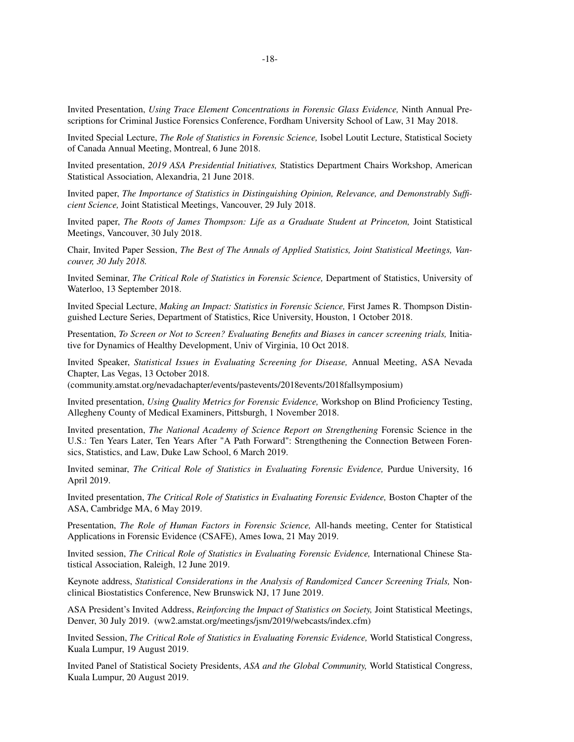Invited Presentation, *Using Trace Element Concentrations in Forensic Glass Evidence,* Ninth Annual Prescriptions for Criminal Justice Forensics Conference, Fordham University School of Law, 31 May 2018.

Invited Special Lecture, *The Role of Statistics in Forensic Science,* Isobel Loutit Lecture, Statistical Society of Canada Annual Meeting, Montreal, 6 June 2018.

Invited presentation, *2019 ASA Presidential Initiatives,* Statistics Department Chairs Workshop, American Statistical Association, Alexandria, 21 June 2018.

Invited paper, *The Importance of Statistics in Distinguishing Opinion, Relevance, and Demonstrably Sufficient Science,* Joint Statistical Meetings, Vancouver, 29 July 2018.

Invited paper, *The Roots of James Thompson: Life as a Graduate Student at Princeton,* Joint Statistical Meetings, Vancouver, 30 July 2018.

Chair, Invited Paper Session, *The Best of The Annals of Applied Statistics, Joint Statistical Meetings, Vancouver, 30 July 2018.*

Invited Seminar, *The Critical Role of Statistics in Forensic Science,* Department of Statistics, University of Waterloo, 13 September 2018.

Invited Special Lecture, *Making an Impact: Statistics in Forensic Science,* First James R. Thompson Distinguished Lecture Series, Department of Statistics, Rice University, Houston, 1 October 2018.

Presentation, *To Screen or Not to Screen? Evaluating Benefits and Biases in cancer screening trials,* Initiative for Dynamics of Healthy Development, Univ of Virginia, 10 Oct 2018.

Invited Speaker, *Statistical Issues in Evaluating Screening for Disease,* Annual Meeting, ASA Nevada Chapter, Las Vegas, 13 October 2018.

(community.amstat.org/nevadachapter/events/pastevents/2018events/2018fallsymposium)

Invited presentation, *Using Quality Metrics for Forensic Evidence,* Workshop on Blind Proficiency Testing, Allegheny County of Medical Examiners, Pittsburgh, 1 November 2018.

Invited presentation, *The National Academy of Science Report on Strengthening* Forensic Science in the U.S.: Ten Years Later, Ten Years After "A Path Forward": Strengthening the Connection Between Forensics, Statistics, and Law, Duke Law School, 6 March 2019.

Invited seminar, *The Critical Role of Statistics in Evaluating Forensic Evidence,* Purdue University, 16 April 2019.

Invited presentation, *The Critical Role of Statistics in Evaluating Forensic Evidence,* Boston Chapter of the ASA, Cambridge MA, 6 May 2019.

Presentation, *The Role of Human Factors in Forensic Science,* All-hands meeting, Center for Statistical Applications in Forensic Evidence (CSAFE), Ames Iowa, 21 May 2019.

Invited session, *The Critical Role of Statistics in Evaluating Forensic Evidence,* International Chinese Statistical Association, Raleigh, 12 June 2019.

Ke ynote address, *Statistical Considerations in the Analysis of Randomized Cancer Screening Trials,* Nonclinical Biostatistics Conference, New Brunswick NJ, 17 June 2019.

ASA President's Invited Address, *Reinforcing the Impact of Statistics on Society,* Joint Statistical Meetings, Denver, 30 July 2019. (ww2.amstat.org/meetings/jsm/2019/webcasts/index.cfm)

Invited Session, *The Critical Role of Statistics in Evaluating Forensic Evidence,* World Statistical Congress, Kuala Lumpur, 19 August 2019.

Invited Panel of Statistical Society Presidents, *ASA and the Global Community,* World Statistical Congress, Kuala Lumpur, 20 August 2019.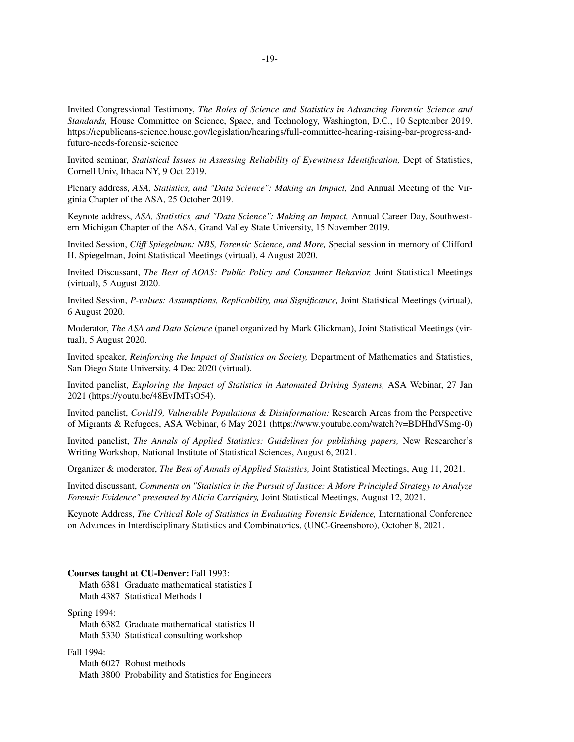Invited Congressional Testimony, *The Roles of Science and Statistics in Advancing Forensic Science and Standards,* House Committee on Science, Space, and Technology, Washington, D.C., 10 September 2019. https://republicans-science.house.gov/legislation/hearings/full-committee-hearing-raising-bar-progress-andfuture-needs-forensic-science

Invited seminar, *Statistical Issues in Assessing Reliability of Eyewitness Identification,* Dept of Statistics, Cornell Univ, Ithaca NY, 9 Oct 2019.

Plenary address, *ASA, Statistics, and "Data Science": Making an Impact,* 2nd Annual Meeting of the Virginia Chapter of the ASA, 25 October 2019.

Ke ynote address, *ASA, Statistics, and "Data Science": Making an Impact,* Annual Career Day, Southwestern Michigan Chapter of the ASA, Grand Valley State University, 15 November 2019.

Invited Session, *Cliff Spiegelman: NBS, Forensic Science, and More,* Special session in memory of Clifford H. Spiegelman, Joint Statistical Meetings (virtual), 4 August 2020.

Invited Discussant, *The Best of AOAS: Public Policy and Consumer Behavior,* Joint Statistical Meetings (virtual), 5 August 2020.

Invited Session, *P-values: Assumptions, Replicability, and Significance,* Joint Statistical Meetings (virtual), 6 August 2020.

Moderator, *The ASA and Data Science* (panel organized by Mark Glickman), Joint Statistical Meetings (virtual), 5 August 2020.

Invited speaker, *Reinforcing the Impact of Statistics on Society,* Department of Mathematics and Statistics, San Diego State University, 4 Dec 2020 (virtual).

Invited panelist, *Exploring the Impact of Statistics in Automated Driving Systems,* ASA Webinar, 27 Jan 2021 (https://youtu.be/48EvJMTsO54).

Invited panelist, *Covid19, Vulnerable Populations & Disinformation:* Research Areas from the Perspective of Migrants & Refugees, ASA Webinar,6May 2021 (https://www.youtube.com/watch?v=BDHhdVSmg-0)

Invited panelist, *The Annals of Applied Statistics: Guidelines for publishing papers,* New Researcher's Writing Workshop, National Institute of Statistical Sciences, August 6, 2021.

Organizer & moderator, *The Best of Annals of Applied Statistics,* Joint Statistical Meetings, Aug 11, 2021.

Invited discussant, *Comments on "Statistics in the Pursuit of Justice: A More Principled Strategy to Analyze Forensic Evidence" presented by Alicia Carriquiry,* Joint Statistical Meetings, August 12, 2021.

Ke ynote Address, *The Critical Role of Statistics in Evaluating Forensic Evidence,* International Conference on Advances in Interdisciplinary Statistics and Combinatorics, (UNC-Greensboro), October 8, 2021.

#### **Courses taught at CU-Denver:** Fall 1993:

Math 6381 Graduate mathematical statistics I

Math 4387 Statistical Methods I

Spring 1994:

Math 6382 Graduate mathematical statistics II Math 5330 Statistical consulting workshop

#### Fall 1994:

Math 6027 Robust methods Math 3800 Probability and Statistics for Engineers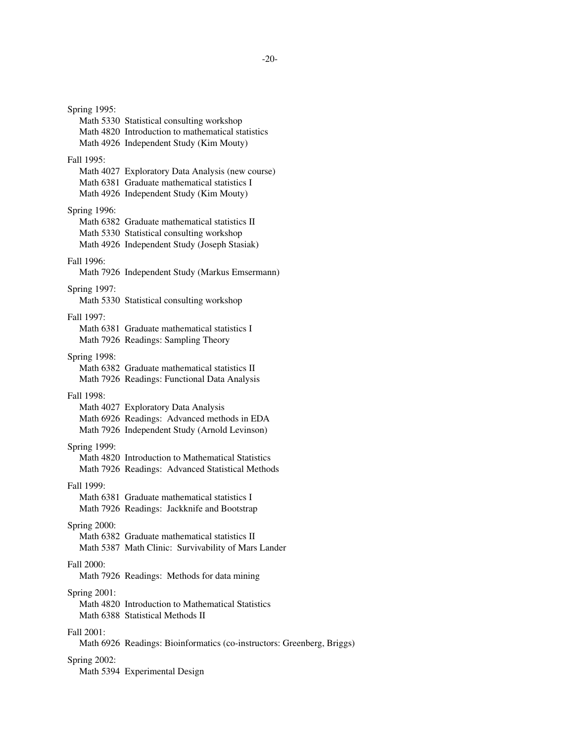Spring 1995: Math 5330 Statistical consulting workshop Math 4820 Introduction to mathematical statistics Math 4926 Independent Study (Kim Mouty) Fall 1995: Math 4027 Exploratory Data Analysis (new course) Math 6381 Graduate mathematical statistics I Math 4926 Independent Study (Kim Mouty) Spring 1996: Math 6382 Graduate mathematical statistics II Math 5330 Statistical consulting workshop Math 4926 Independent Study (Joseph Stasiak) Fall 1996: Math 7926 Independent Study (Markus Emsermann) Spring 1997: Math 5330 Statistical consulting workshop Fall 1997: Math 6381 Graduate mathematical statistics I Math 7926 Readings: Sampling Theory Spring 1998: Math 6382 Graduate mathematical statistics II Math 7926 Readings: Functional Data Analysis Fall 1998: Math 4027 Exploratory Data Analysis Math 6926 Readings: Advanced methods in EDA Math 7926 Independent Study (Arnold Levinson) Spring 1999: Math 4820 Introduction to Mathematical Statistics Math 7926 Readings: Advanced Statistical Methods Fall 1999: Math 6381 Graduate mathematical statistics I Math 7926 Readings: Jackknife and Bootstrap Spring 2000: Math 6382 Graduate mathematical statistics II Math 5387 Math Clinic: Survivability of Mars Lander Fall 2000: Math 7926 Readings: Methods for data mining Spring 2001: Math 4820 Introduction to Mathematical Statistics Math 6388 Statistical Methods II Fall 2001: Math 6926 Readings: Bioinformatics (co-instructors: Greenberg, Briggs) Spring 2002: Math 5394 Experimental Design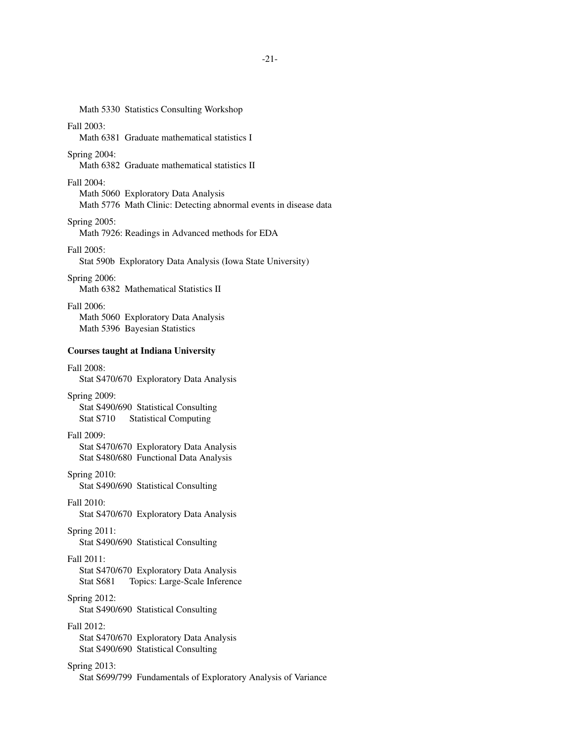# Math 5330 Statistics Consulting Workshop

## Fall 2003:

Math 6381 Graduate mathematical statistics I

## Spring 2004:

Math 6382 Graduate mathematical statistics II

### Fall 2004:

Math 5060 Exploratory Data Analysis Math 5776 Math Clinic: Detecting abnormal events in disease data

## Spring 2005:

Math 7926: Readings in Advanced methods for EDA

## Fall 2005:

Stat 590b Exploratory Data Analysis (Iowa State University)

### Spring 2006:

Math 6382 Mathematical Statistics II

# Fall 2006:

Math 5060 Exploratory Data Analysis Math 5396 Bayesian Statistics

### **Courses taught at Indiana University**

### Fall 2008:

Stat S470/670 Exploratory Data Analysis

### Spring 2009:

Stat S490/690 Statistical Consulting Stat S710 Statistical Computing

### Fall 2009:

Stat S470/670 Exploratory Data Analysis Stat S480/680 Functional Data Analysis

### Spring 2010:

Stat S490/690 Statistical Consulting

## Fall 2010:

Stat S470/670 Exploratory Data Analysis

## Spring 2011:

Stat S490/690 Statistical Consulting

## Fall 2011:

Stat S470/670 Exploratory Data Analysis Stat S681 Topics: Large-Scale Inference

## Spring 2012:

Stat S490/690 Statistical Consulting

### Fall 2012:

Stat S470/670 Exploratory Data Analysis Stat S490/690 Statistical Consulting

## Spring 2013:

Stat S699/799 Fundamentals of Exploratory Analysis of Variance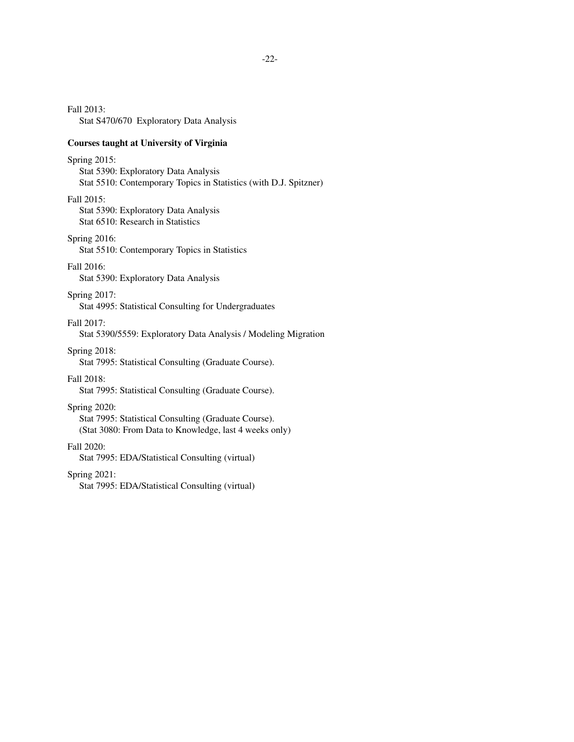Fall 2013: Stat S470/670 Exploratory Data Analysis

### **Courses taught at University of Virginia**

### Spring 2015:

Stat 5390: Exploratory Data Analysis Stat 5510: Contemporary Topics in Statistics (with D.J. Spitzner)

#### Fall 2015:

Stat 5390: Exploratory Data Analysis Stat 6510: Research in Statistics

### Spring 2016:

Stat 5510: Contemporary Topics in Statistics

### Fall 2016:

Stat 5390: Exploratory Data Analysis

### Spring 2017:

Stat 4995: Statistical Consulting for Undergraduates

Fall 2017:

Stat 5390/5559: Exploratory Data Analysis / Modeling Migration

## Spring 2018:

Stat 7995: Statistical Consulting (Graduate Course).

## Fall 2018:

Stat 7995: Statistical Consulting (Graduate Course).

### Spring 2020:

Stat 7995: Statistical Consulting (Graduate Course). (Stat 3080: From Data to Knowledge, last 4 weeks only)

#### Fall 2020:

Stat 7995: EDA/Statistical Consulting (virtual)

### Spring 2021:

Stat 7995: EDA/Statistical Consulting (virtual)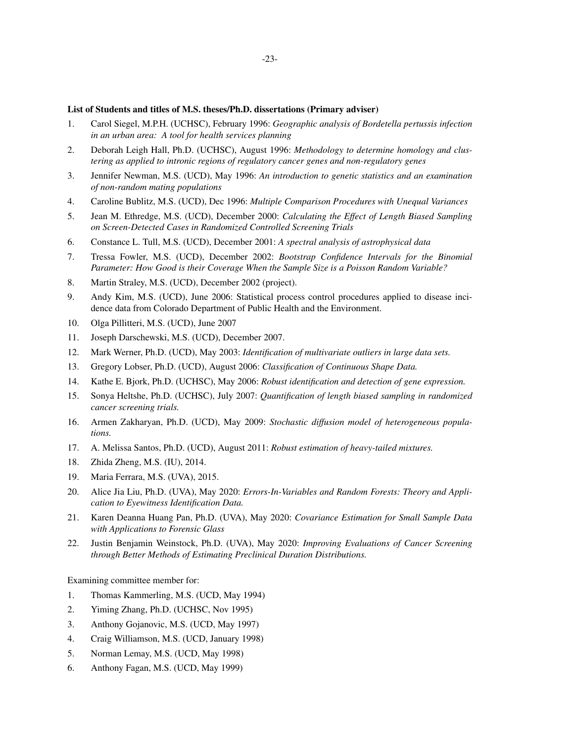## **List of Students and titles of M.S. theses/Ph.D. dissertations (Primary adviser)**

- 1. Carol Siegel, M.P.H. (UCHSC), February 1996: *Geographic analysis of Bordetella pertussis infection in an urban area: A tool for health services planning*
- 2. Deborah Leigh Hall, Ph.D. (UCHSC), August 1996: *Methodology to determine homology and clustering as applied to intronic regions of regulatory cancer genes and non-regulatory genes*
- 3. Jennifer Newman, M.S. (UCD), May 1996: *An introduction to genetic statistics and an examination of non-random mating populations*
- 4. Caroline Bublitz, M.S. (UCD), Dec 1996: *Multiple Comparison Procedures with Unequal Variances*
- 5. Jean M. Ethredge, M.S. (UCD), December 2000: *Calculating the Effect of Length Biased Sampling on Screen-Detected Cases in Randomized Controlled Screening Trials*
- 6. Constance L. Tull, M.S. (UCD), December 2001: *A spectral analysis of astrophysical data*
- 7. Tressa Fowler, M.S. (UCD), December 2002: *Bootstrap Confidence Intervals for the Binomial Parameter: How Good is their Coverage When the Sample Size is a Poisson Random Variable?*
- 8. Martin Straley, M.S. (UCD), December 2002 (project).
- 9. Andy Kim, M.S. (UCD), June 2006: Statistical process control procedures applied to disease incidence data from Colorado Department of Public Health and the Environment.
- 10. Olga Pillitteri, M.S. (UCD), June 2007
- 11. Joseph Darschewski, M.S. (UCD), December 2007.
- 12. Mark Werner, Ph.D. (UCD), May 2003: *Identification of multivariate outliers in large data sets.*
- 13. Gregory Lobser, Ph.D. (UCD), August 2006: *Classification of Continuous Shape Data.*
- 14. Kathe E. Bjork, Ph.D. (UCHSC), May 2006: *Robust identification and detection of gene expression.*
- 15. Sonya Heltshe, Ph.D. (UCHSC), July 2007: *Quantification of length biased sampling in randomized cancer screening trials.*
- 16. Armen Zakharyan, Ph.D. (UCD), May 2009: *Stochastic diffusion model of heterogeneous populations.*
- 17. A. Melissa Santos, Ph.D. (UCD), August 2011: *Robust estimation of heavy-tailed mixtures.*
- 18. Zhida Zheng, M.S. (IU), 2014.
- 19. Maria Ferrara, M.S. (UVA), 2015.
- 20. Alice Jia Liu, Ph.D. (UVA), May 2020: *Errors-In-Variables and Random Forests: Theory and Application to Eyewitness Identification Data.*
- 21. Karen Deanna Huang Pan, Ph.D. (UVA), May 2020: *Covariance Estimation for Small Sample Data with Applications to Forensic Glass*
- 22. Justin Benjamin Weinstock, Ph.D. (UVA), May 2020: *Improving Evaluations of Cancer Screening through Better Methods of Estimating Preclinical Duration Distributions.*

Examining committee member for:

- 1. Thomas Kammerling, M.S. (UCD, May 1994)
- 2. Yiming Zhang, Ph.D. (UCHSC, Nov 1995)
- 3. Anthony Gojanovic, M.S. (UCD, May 1997)
- 4. Craig Williamson, M.S. (UCD, January 1998)
- 5. Norman Lemay, M.S. (UCD, May 1998)
- 6. Anthony Fagan, M.S. (UCD, May 1999)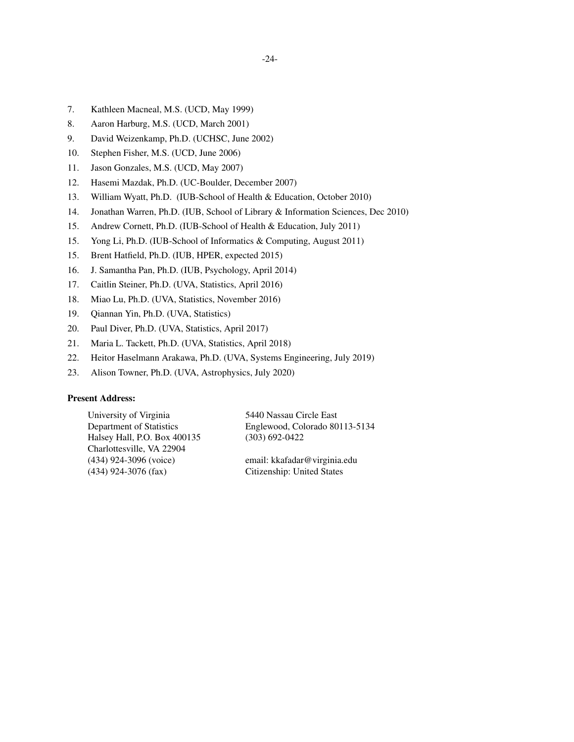- 7. Kathleen Macneal, M.S. (UCD, May 1999)
- 8. Aaron Harburg, M.S. (UCD, March 2001)
- 9. David Weizenkamp, Ph.D. (UCHSC, June 2002)
- 10. Stephen Fisher, M.S. (UCD, June 2006)
- 11. Jason Gonzales, M.S. (UCD, May 2007)
- 12. Hasemi Mazdak, Ph.D. (UC-Boulder, December 2007)
- 13. William Wyatt, Ph.D. (IUB-School of Health & Education, October 2010)
- 14. Jonathan Warren, Ph.D. (IUB, School of Library & Information Sciences, Dec 2010)
- 15. Andrew Cornett, Ph.D. (IUB-School of Health & Education, July 2011)
- 15. Yong Li, Ph.D. (IUB-School of Informatics & Computing, August 2011)
- 15. Brent Hatfield, Ph.D. (IUB, HPER, expected 2015)
- 16. J. Samantha Pan, Ph.D. (IUB, Psychology, April 2014)
- 17. Caitlin Steiner, Ph.D. (UVA, Statistics, April 2016)
- 18. Miao Lu, Ph.D. (UVA, Statistics, November 2016)
- 19. Qiannan Yin, Ph.D. (UVA, Statistics)
- 20. Paul Diver, Ph.D. (UVA, Statistics, April 2017)
- 21. Maria L. Tackett, Ph.D. (UVA, Statistics, April 2018)
- 22. Heitor Haselmann Arakawa, Ph.D. (UVA, Systems Engineering, July 2019)
- 23. Alison Towner, Ph.D. (UVA, Astrophysics, July 2020)

### **Present Address:**

Halsey Hall, P.O. Box 400135 (303) 692-0422 Charlottesville, VA 22904 (434) 924-3096 (voice) email: kkafadar@virginia.edu

University of Virginia 5440 Nassau Circle East Department of Statistics Englewood, Colorado 80113-5134

(434) 924-3076 (fax) Citizenship: United States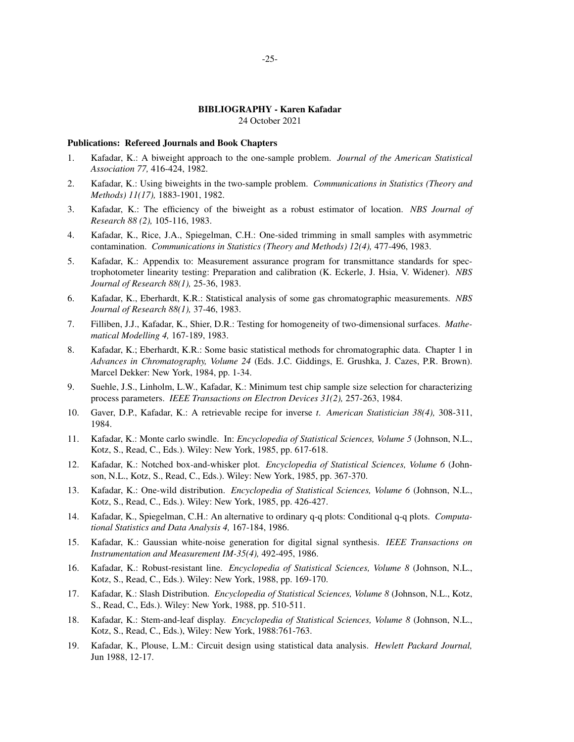## **BIBLIOGRAPHY - Karen Kafadar**

24 October 2021

#### **Publications: Refereed Journals and Book Chapters**

- 1. Kafadar, K.: A biweight approach to the one-sample problem. *Journal of the American Statistical Association 77,* 416-424, 1982.
- 2. Kafadar, K.: Using biweights in the two-sample problem. *Communications in Statistics (Theory and Methods) 11(17),* 1883-1901, 1982.
- 3. Kafadar, K.: The efficiency of the biweight as a robust estimator of location. *NBS Journal of Research 88 (2),* 105-116, 1983.
- 4. Kafadar, K., Rice, J.A., Spiegelman, C.H.: One-sided trimming in small samples with asymmetric contamination. *Communications in Statistics (Theory and Methods) 12(4),* 477-496, 1983.
- 5. Kafadar, K.: Appendix to: Measurement assurance program for transmittance standards for spectrophotometer linearity testing: Preparation and calibration (K. Eckerle, J. Hsia, V. Widener). *NBS Journal of Research 88(1),* 25-36, 1983.
- 6. Kafadar, K., Eberhardt, K.R.: Statistical analysis of some gas chromatographic measurements. *NBS Journal of Research 88(1),* 37-46, 1983.
- 7. Filliben, J.J., Kafadar, K., Shier, D.R.: Testing for homogeneity of two-dimensional surfaces. *Mathematical Modelling 4,* 167-189, 1983.
- 8. Kafadar, K.; Eberhardt, K.R.: Some basic statistical methods for chromatographic data. Chapter 1 in *Advances in Chromatography, Volume 24* (Eds. J.C. Giddings, E. Grushka, J. Cazes, P.R. Brown). Marcel Dekker: New York, 1984, pp. 1-34.
- 9. Suehle, J.S., Linholm, L.W., Kafadar, K.: Minimum test chip sample size selection for characterizing process parameters. *IEEE Transactions on Electron Devices 31(2),* 257-263, 1984.
- 10. Gaver, D.P., Kafadar, K.: A retrievable recipe for inverse *t*. *American Statistician 38(4),* 308-311, 1984.
- 11. Kafadar, K.: Monte carlo swindle. In: *Encyclopedia of Statistical Sciences, Volume 5* (Johnson, N.L., Kotz, S., Read, C., Eds.). Wiley: New York, 1985, pp. 617-618.
- 12. Kafadar, K.: Notched box-and-whisker plot. *Encyclopedia of Statistical Sciences, Volume 6* (Johnson, N.L., Kotz, S., Read, C., Eds.). Wiley: New York, 1985, pp. 367-370.
- 13. Kafadar, K.: One-wild distribution. *Encyclopedia of Statistical Sciences, Volume 6* (Johnson, N.L., Kotz, S., Read, C., Eds.). Wiley: New York, 1985, pp. 426-427.
- 14. Kafadar, K., Spiegelman, C.H.: An alternative to ordinary q-q plots: Conditional q-q plots. *Computational Statistics and Data Analysis 4,* 167-184, 1986.
- 15. Kafadar, K.: Gaussian white-noise generation for digital signal synthesis. *IEEE Transactions on Instrumentation and Measurement IM-35(4),* 492-495, 1986.
- 16. Kafadar, K.: Robust-resistant line. *Encyclopedia of Statistical Sciences, Volume 8* (Johnson, N.L., Kotz, S., Read, C., Eds.). Wiley: New York, 1988, pp. 169-170.
- 17. Kafadar, K.: Slash Distribution. *Encyclopedia of Statistical Sciences, Volume 8* (Johnson, N.L., Kotz, S., Read, C., Eds.). Wiley: New York, 1988, pp. 510-511.
- 18. Kafadar, K.: Stem-and-leaf display. *Encyclopedia of Statistical Sciences, Volume 8* (Johnson, N.L., Kotz, S., Read, C., Eds.), Wiley: New York, 1988:761-763.
- 19. Kafadar, K., Plouse, L.M.: Circuit design using statistical data analysis. *Hewlett Packard Journal,* Jun 1988, 12-17.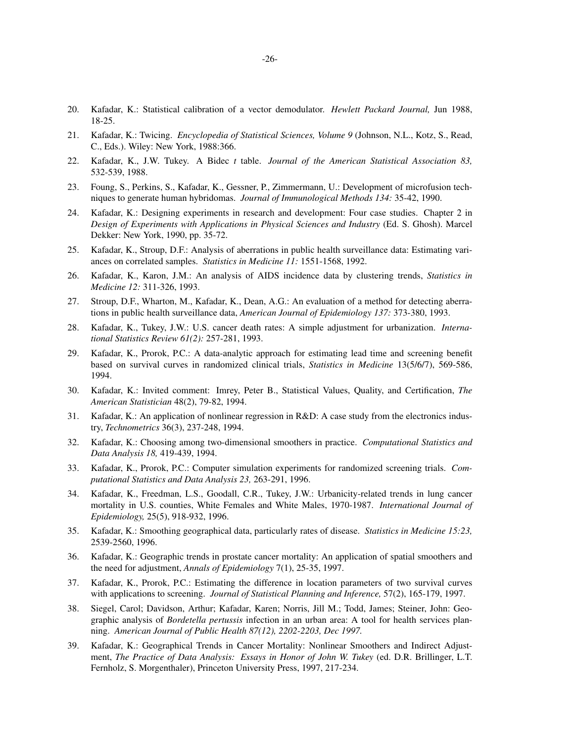- 20. Kafadar, K.: Statistical calibration of a vector demodulator. *Hewlett Packard Journal,* Jun 1988, 18-25.
- 21. Kafadar, K.: Twicing. *Encyclopedia of Statistical Sciences, Volume 9* (Johnson, N.L., Kotz, S., Read, C., Eds.). Wiley: New York, 1988:366.
- 22. Kafadar, K., J.W. Tukey. A Bidec *t* table. *Journal of the American Statistical Association 83,* 532-539, 1988.
- 23. Foung, S., Perkins, S., Kafadar, K., Gessner, P., Zimmermann, U.: Development of microfusion techniques to generate human hybridomas. *Journal of Immunological Methods 134:* 35-42, 1990.
- 24. Kafadar, K.: Designing experiments in research and development: Four case studies. Chapter 2 in *Design of Experiments with Applications in Physical Sciences and Industry* (Ed. S. Ghosh). Marcel Dekker: New York, 1990, pp. 35-72.
- 25. Kafadar, K., Stroup, D.F.: Analysis of aberrations in public health surveillance data: Estimating variances on correlated samples. *Statistics in Medicine 11:* 1551-1568, 1992.
- 26. Kafadar, K., Karon, J.M.: An analysis of AIDS incidence data by clustering trends, *Statistics in Medicine 12:* 311-326, 1993.
- 27. Stroup, D.F., Wharton, M., Kafadar, K., Dean, A.G.: An evaluation of a method for detecting aberrations in public health surveillance data, *American Journal of Epidemiology 137:* 373-380, 1993.
- 28. Kafadar, K., Tukey, J.W.: U.S. cancer death rates: A simple adjustment for urbanization. *International Statistics Review 61(2):* 257-281, 1993.
- 29. Kafadar, K., Prorok, P.C.: A data-analytic approach for estimating lead time and screening benefit based on survival curves in randomized clinical trials, *Statistics in Medicine* 13(5/6/7), 569-586, 1994.
- 30. Kafadar, K.: Invited comment: Imrey, Peter B., Statistical Values, Quality, and Certification, *The American Statistician* 48(2), 79-82, 1994.
- 31. Kafadar, K.: An application of nonlinear regression in R&D: A case study from the electronics industry, *Technometrics* 36(3), 237-248, 1994.
- 32. Kafadar, K.: Choosing among two-dimensional smoothers in practice. *Computational Statistics and Data Analysis 18,* 419-439, 1994.
- 33. Kafadar, K., Prorok, P.C.: Computer simulation experiments for randomized screening trials. *Computational Statistics and Data Analysis 23,* 263-291, 1996.
- 34. Kafadar, K., Freedman, L.S., Goodall, C.R., Tukey, J.W.: Urbanicity-related trends in lung cancer mortality in U.S. counties, White Females and White Males, 1970-1987. *International Journal of Epidemiology,* 25(5), 918-932, 1996.
- 35. Kafadar, K.: Smoothing geographical data, particularly rates of disease. *Statistics in Medicine 15:23,* 2539-2560, 1996.
- 36. Kafadar, K.: Geographic trends in prostate cancer mortality: An application of spatial smoothers and the need for adjustment, *Annals of Epidemiology* 7(1), 25-35, 1997.
- 37. Kafadar, K., Prorok, P.C.: Estimating the difference in location parameters of two survival curves with applications to screening. *Journal of Statistical Planning and Inference,* 57(2), 165-179, 1997.
- 38. Siegel, Carol; Davidson, Arthur; Kafadar, Karen; Norris, Jill M.; Todd, James; Steiner, John: Geographic analysis of *Bordetella pertussis* infection in an urban area: A tool for health services planning. *American Journal of Public Health 87(12), 2202-2203, Dec 1997.*
- 39. Kafadar, K.: Geographical Trends in Cancer Mortality: Nonlinear Smoothers and Indirect Adjustment, *The Practice of Data Analysis: Essays in Honor of John W. Tukey* (ed. D.R. Brillinger, L.T. Fernholz, S. Morgenthaler), Princeton University Press, 1997, 217-234.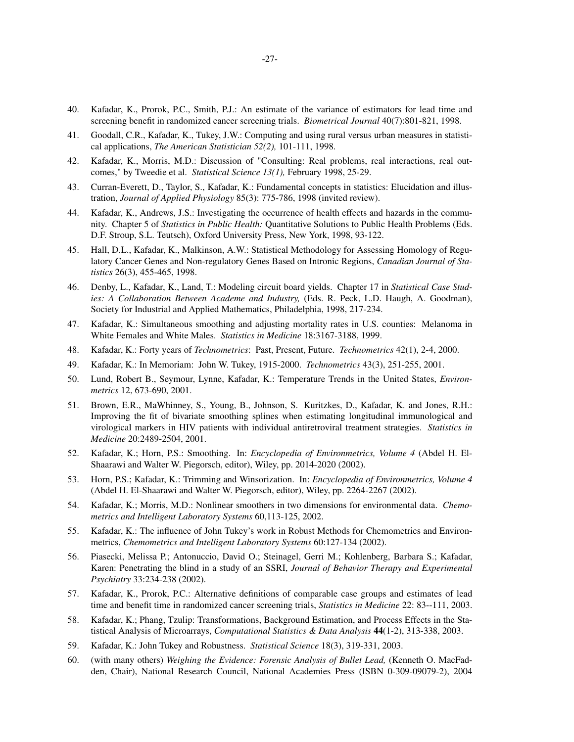- 40. Kafadar, K., Prorok, P.C., Smith, P.J.: An estimate of the variance of estimators for lead time and screening benefit in randomized cancer screening trials. *Biometrical Journal* 40(7):801-821, 1998.
- 41. Goodall, C.R., Kafadar, K., Tukey, J.W.: Computing and using rural versus urban measures in statistical applications, *The American Statistician 52(2),* 101-111, 1998.
- 42. Kafadar, K., Morris, M.D.: Discussion of "Consulting: Real problems, real interactions, real outcomes," by Tweedie et al. *Statistical Science 13(1),* February 1998, 25-29.
- 43. Curran-Everett, D., Taylor, S., Kafadar, K.: Fundamental concepts in statistics: Elucidation and illustration, *Journal of Applied Physiology* 85(3): 775-786, 1998 (invited review).
- 44. Kafadar, K., Andrews, J.S.: Investigating the occurrence of health effects and hazards in the community. Chapter 5 of *Statistics in Public Health:* Quantitative Solutions to Public Health Problems (Eds. D.F. Stroup, S.L. Teutsch), Oxford University Press, New York, 1998, 93-122.
- 45. Hall, D.L., Kafadar, K., Malkinson, A.W.: Statistical Methodology for Assessing Homology of Regulatory Cancer Genes and Non-regulatory Genes Based on Intronic Regions, *Canadian Journal of Statistics* 26(3), 455-465, 1998.
- 46. Denby, L., Kafadar, K., Land, T.: Modeling circuit board yields. Chapter 17 in *Statistical Case Studies: A Collaboration Between Academe and Industry,* (Eds. R. Peck, L.D. Haugh, A. Goodman), Society for Industrial and Applied Mathematics, Philadelphia, 1998, 217-234.
- 47. Kafadar, K.: Simultaneous smoothing and adjusting mortality rates in U.S. counties: Melanoma in White Females and White Males. *Statistics in Medicine* 18:3167-3188, 1999.
- 48. Kafadar, K.: Forty years of *Technometrics*: Past, Present, Future. *Technometrics* 42(1), 2-4, 2000.
- 49. Kafadar, K.: In Memoriam: John W. Tukey, 1915-2000. *Technometrics* 43(3), 251-255, 2001.
- 50. Lund, Robert B., Seymour, Lynne, Kafadar, K.: Temperature Trends in the United States, *Environmetrics* 12, 673-690, 2001.
- 51. Brown, E.R., MaWhinney, S., Young, B., Johnson, S. Kuritzkes, D., Kafadar, K. and Jones, R.H.: Improving the fit of bivariate smoothing splines when estimating longitudinal immunological and virological markers in HIV patients with individual antiretroviral treatment strategies. *Statistics in Medicine* 20:2489-2504, 2001.
- 52. Kafadar, K.; Horn, P.S.: Smoothing. In: *Encyclopedia of Environmetrics, Volume 4* (Abdel H. El-Shaarawi and Walter W. Piegorsch, editor), Wiley, pp. 2014-2020 (2002).
- 53. Horn, P.S.; Kafadar, K.: Trimming and Winsorization. In: *Encyclopedia of Environmetrics, Volume 4* (Abdel H. El-Shaarawi and Walter W. Piegorsch, editor), Wiley, pp. 2264-2267 (2002).
- 54. Kafadar, K.; Morris, M.D.: Nonlinear smoothers in two dimensions for environmental data. *Chemometrics and Intelligent Laboratory Systems* 60,113-125, 2002.
- 55. Kafadar, K.: The influence of John Tukey's work in Robust Methods for Chemometrics and Environmetrics, *Chemometrics and Intelligent Laboratory Systems* 60:127-134 (2002).
- 56. Piasecki, Melissa P.; Antonuccio, David O.; Steinagel, Gerri M.; Kohlenberg, Barbara S.; Kafadar, Karen: Penetrating the blind in a study of an SSRI, *Journal of Behavior Therapy and Experimental Psychiatry* 33:234-238 (2002).
- 57. Kafadar, K., Prorok, P.C.: Alternative definitions of comparable case groups and estimates of lead time and benefit time in randomized cancer screening trials, *Statistics in Medicine* 22: 83--111, 2003.
- 58. Kafadar, K.; Phang, Tzulip: Transformations, Background Estimation, and Process Effects in the Statistical Analysis of Microarrays, *Computational Statistics & Data Analysis* **44**(1-2), 313-338, 2003.
- 59. Kafadar, K.: John Tukey and Robustness. *Statistical Science* 18(3), 319-331, 2003.
- 60. (with many others) *Weighing the Evidence: Forensic Analysis of Bullet Lead,* (Kenneth O. MacFadden, Chair), National Research Council, National Academies Press (ISBN 0-309-09079-2), 2004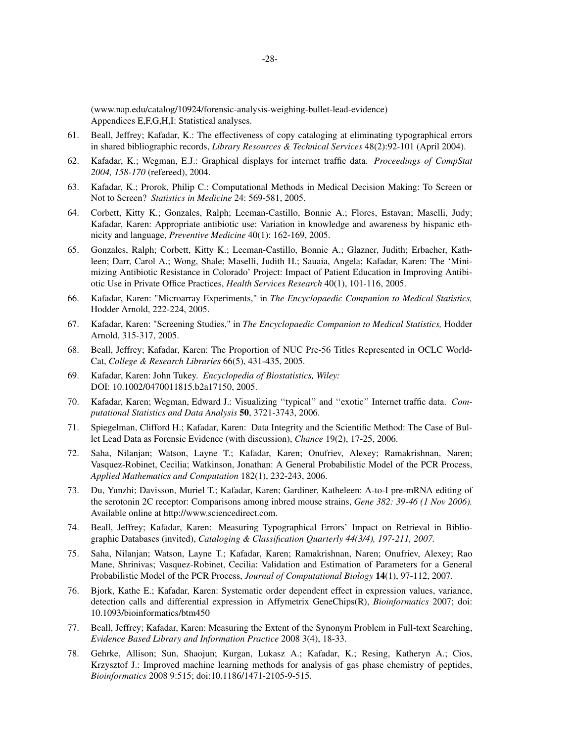(www.nap.edu/catalog/10924/forensic-analysis-weighing-bullet-lead-evidence) Appendices E,F,G,H,I: Statistical analyses.

- 61. Beall, Jeffrey; Kafadar, K.: The effectiveness of copy cataloging at eliminating typographical errors in shared bibliographic records, *Library Resources & Technical Services* 48(2):92-101 (April 2004).
- 62. Kafadar, K.; Wegman, E.J.: Graphical displays for internet traffic data. *Proceedings of CompStat 2004, 158-170* (refereed), 2004.
- 63. Kafadar, K.; Prorok, Philip C.: Computational Methods in Medical Decision Making: To Screen or Not to Screen? *Statistics in Medicine* 24: 569-581, 2005.
- 64. Corbett, Kitty K.; Gonzales, Ralph; Leeman-Castillo, Bonnie A.; Flores, Estavan; Maselli, Judy; Kafadar, Karen: Appropriate antibiotic use: Variation in knowledge and awareness by hispanic ethnicity and language, *Preventive Medicine* 40(1): 162-169, 2005.
- 65. Gonzales, Ralph; Corbett, Kitty K.; Leeman-Castillo, Bonnie A.; Glazner, Judith; Erbacher, Kathleen; Darr, Carol A.; Wong, Shale; Maselli, Judith H.; Sauaia, Angela; Kafadar, Karen: The 'Minimizing Antibiotic Resistance in Colorado' Project: Impact of Patient Education in Improving Antibiotic Use in Private Office Practices, *Health Services Research* 40(1), 101-116, 2005.
- 66. Kafadar, Karen: "Microarray Experiments," in *The Encyclopaedic Companion to Medical Statistics,* Hodder Arnold, 222-224, 2005.
- 67. Kafadar, Karen: "Screening Studies," in *The Encyclopaedic Companion to Medical Statistics,* Hodder Arnold, 315-317, 2005.
- 68. Beall, Jeffrey; Kafadar, Karen: The Proportion of NUC Pre-56 Titles Represented in OCLC World-Cat, *College & Research Libraries* 66(5), 431-435, 2005.
- 69. Kafadar, Karen: John Tukey. *Encyclopedia of Biostatistics, Wiley:* DOI: 10.1002/0470011815.b2a17150, 2005.
- 70. Kafadar, Karen; Wegman, Edward J.: Visualizing ''typical'' and ''exotic'' Internet traffic data. *Computational Statistics and Data Analysis* **50**, 3721-3743, 2006.
- 71. Spiegelman, Clifford H.; Kafadar, Karen: Data Integrity and the Scientific Method: The Case of Bullet Lead Data as Forensic Evidence (with discussion), *Chance* 19(2), 17-25, 2006.
- 72. Saha, Nilanjan; Watson, Layne T.; Kafadar, Karen; Onufriev, Alexey; Ramakrishnan, Naren; Vasquez-Robinet, Cecilia; Watkinson, Jonathan: A General Probabilistic Model of the PCR Process, *Applied Mathematics and Computation* 182(1), 232-243, 2006.
- 73. Du, Yunzhi; Davisson, Muriel T.; Kafadar, Karen; Gardiner, Katheleen: A-to-I pre-mRNA editing of the serotonin 2C receptor: Comparisons among inbred mouse strains, *Gene 382: 39-46 (1 Nov 2006).* Available online at http://www.sciencedirect.com.
- 74. Beall, Jeffrey; Kafadar, Karen: Measuring Typographical Errors' Impact on Retrieval in Bibliographic Databases (invited), *Cataloging & Classification Quarterly 44(3/4), 197-211, 2007.*
- 75. Saha, Nilanjan; Watson, Layne T.; Kafadar, Karen; Ramakrishnan, Naren; Onufriev, Alexey; Rao Mane, Shrinivas; Vasquez-Robinet, Cecilia: Validation and Estimation of Parameters for a General Probabilistic Model of the PCR Process, *Journal of Computational Biology* **14**(1), 97-112, 2007.
- 76. Bjork, Kathe E.; Kafadar, Karen: Systematic order dependent effect in expression values, variance, detection calls and differential expression in Affymetrix GeneChips(R), *Bioinformatics* 2007; doi: 10.1093/bioinformatics/btm450
- 77. Beall, Jeffrey; Kafadar, Karen: Measuring the Extent of the Synonym Problem in Full-text Searching, *Evidence Based Library and Information Practice* 2008 3(4), 18-33.
- 78. Gehrke, Allison; Sun, Shaojun; Kurgan, Lukasz A.; Kafadar, K.; Resing, Katheryn A.; Cios, Krzysztof J.: Improved machine learning methods for analysis of gas phase chemistry of peptides, *Bioinformatics* 2008 9:515; doi:10.1186/1471-2105-9-515.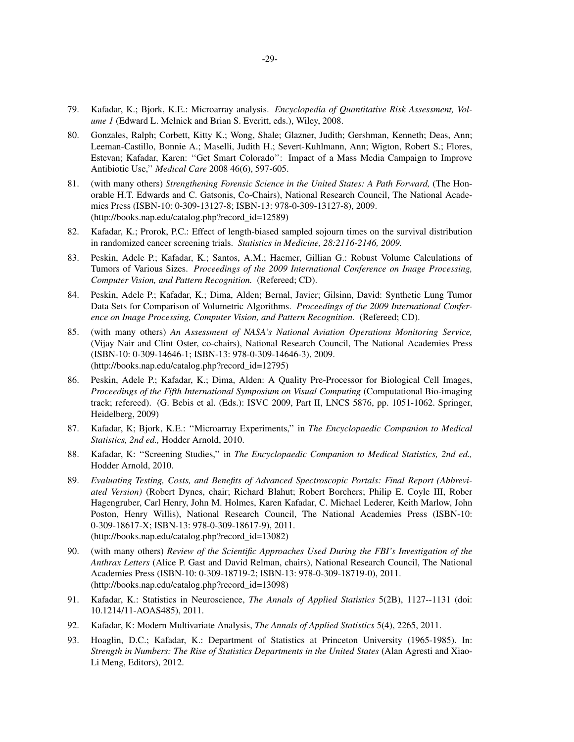- 79. Kafadar, K.; Bjork, K.E.: Microarray analysis. *Encyclopedia of Quantitative Risk Assessment, Volume 1* (Edward L. Melnick and Brian S. Everitt, eds.), Wiley, 2008.
- 80. Gonzales, Ralph; Corbett, Kitty K.; Wong, Shale; Glazner, Judith; Gershman, Kenneth; Deas, Ann; Leeman-Castillo, Bonnie A.; Maselli, Judith H.; Severt-Kuhlmann, Ann; Wigton, Robert S.; Flores, Estevan; Kafadar, Karen: ''Get Smart Colorado'': Impact of a Mass Media Campaign to Improve Antibiotic Use,'' *Medical Care* 2008 46(6), 597-605.
- 81. (with many others) *Strengthening Forensic Science in the United States: A Path Forward,* (The Honorable H.T. Edwards and C. Gatsonis, Co-Chairs), National Research Council, The National Academies Press (ISBN-10: 0-309-13127-8; ISBN-13: 978-0-309-13127-8), 2009. (http://books.nap.edu/catalog.php?record\_id=12589)
- 82. Kafadar, K.; Prorok, P.C.: Effect of length-biased sampled sojourn times on the survival distribution in randomized cancer screening trials. *Statistics in Medicine, 28:2116-2146, 2009.*
- 83. Peskin, Adele P.; Kafadar, K.; Santos, A.M.; Haemer, Gillian G.: Robust Volume Calculations of Tumors of Various Sizes. *Proceedings of the 2009 International Conference on Image Processing, Computer Vision, and Pattern Recognition.* (Refereed; CD).
- 84. Peskin, Adele P.; Kafadar, K.; Dima, Alden; Bernal, Javier; Gilsinn, David: Synthetic Lung Tumor Data Sets for Comparison of Volumetric Algorithms. *Proceedings of the 2009 International Conference on Image Processing, Computer Vision, and Pattern Recognition.* (Refereed; CD).
- 85. (with many others) *An Assessment of NASA's National Aviation Operations Monitoring Service,* (Vijay Nair and Clint Oster, co-chairs), National Research Council, The National Academies Press (ISBN-10: 0-309-14646-1; ISBN-13: 978-0-309-14646-3), 2009. (http://books.nap.edu/catalog.php?record\_id=12795)
- 86. Peskin, Adele P.; Kafadar, K.; Dima, Alden: A Quality Pre-Processor for Biological Cell Images, *Proceedings of the Fifth International Symposium on Visual Computing* (Computational Bio-imaging track; refereed). (G. Bebis et al. (Eds.): ISVC 2009, Part II, LNCS 5876, pp. 1051-1062. Springer, Heidelberg, 2009)
- 87. Kafadar, K; Bjork, K.E.: ''Microarray Experiments,'' in *The Encyclopaedic Companion to Medical Statistics, 2nd ed.,* Hodder Arnold, 2010.
- 88. Kafadar, K: ''Screening Studies,'' in *The Encyclopaedic Companion to Medical Statistics, 2nd ed.,* Hodder Arnold, 2010.
- 89. *Evaluating Testing, Costs, and Benefits of Advanced Spectroscopic Portals: Final Report (Abbreviated Version)* (Robert Dynes, chair; Richard Blahut; Robert Borchers; Philip E. Coyle III, Rober Hagengruber, Carl Henry, John M. Holmes, Karen Kafadar, C. Michael Lederer, Keith Marlow, John Poston, Henry Willis), National Research Council, The National Academies Press (ISBN-10: 0-309-18617-X; ISBN-13: 978-0-309-18617-9), 2011. (http://books.nap.edu/catalog.php?record\_id=13082)
- 90. (with many others) *Review of the Scientific Approaches Used During the FBI's Investigation of the Anthrax Letters* (Alice P. Gast and David Relman, chairs), National Research Council, The National Academies Press (ISBN-10: 0-309-18719-2; ISBN-13: 978-0-309-18719-0), 2011. (http://books.nap.edu/catalog.php?record\_id=13098)
- 91. Kafadar, K.: Statistics in Neuroscience, *The Annals of Applied Statistics* 5(2B), 1127--1131 (doi: 10.1214/11-AOAS485), 2011.
- 92. Kafadar, K: Modern Multivariate Analysis, *The Annals of Applied Statistics* 5(4), 2265, 2011.
- 93. Hoaglin, D.C.; Kafadar, K.: Department of Statistics at Princeton University (1965-1985). In: *Strength in Numbers: The Rise of Statistics Departments in the United States* (Alan Agresti and Xiao-Li Meng, Editors), 2012.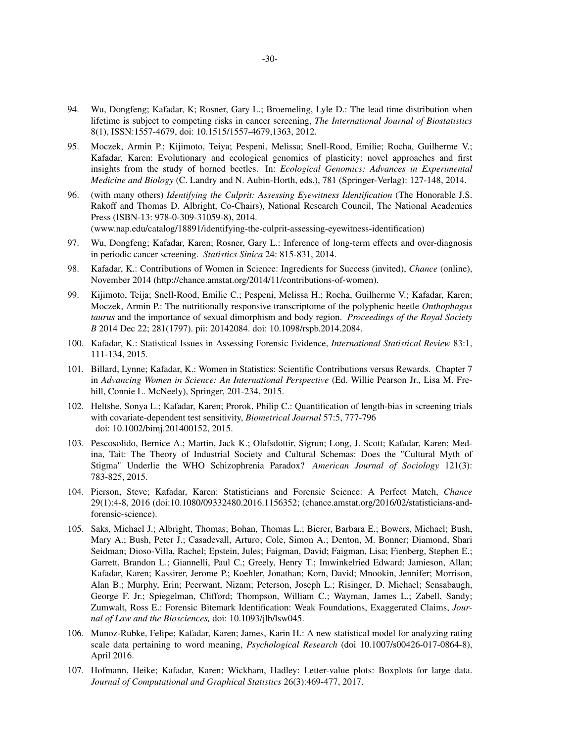- 94. Wu, Dongfeng; Kafadar, K; Rosner, Gary L.; Broemeling, Lyle D.: The lead time distribution when lifetime is subject to competing risks in cancer screening, *The International Journal of Biostatistics* 8(1), ISSN:1557-4679, doi: 10.1515/1557-4679,1363, 2012.
- 95. Moczek, Armin P.; Kijimoto, Teiya; Pespeni, Melissa; Snell-Rood, Emilie; Rocha, Guilherme V.; Kafadar, Karen: Evolutionary and ecological genomics of plasticity: novel approaches and first insights from the study of horned beetles. In: *Ecological Genomics: Advances in Experimental Medicine and Biology* (C. Landry and N. Aubin-Horth, eds.), 781 (Springer-Verlag): 127-148, 2014.
- 96. (with many others) *Identifying the Culprit: Assessing Eyewitness Identification* (The Honorable J.S. Rakoff and Thomas D. Albright, Co-Chairs), National Research Council, The National Academies Press (ISBN-13: 978-0-309-31059-8), 2014.

(www.nap.edu/catalog/18891/identifying-the-culprit-assessing-eyewitness-identification)

- 97. Wu, Dongfeng; Kafadar, Karen; Rosner, Gary L.: Inference of long-term effects and over-diagnosis in periodic cancer screening. *Statistics Sinica* 24: 815-831, 2014.
- 98. Kafadar, K.: Contributions of Women in Science: Ingredients for Success (invited), *Chance* (online), November 2014 (http://chance.amstat.org/2014/11/contributions-of-women).
- 99. Kijimoto, Teija; Snell-Rood, Emilie C.; Pespeni, Melissa H.; Rocha, Guilherme V.; Kafadar, Karen; Moczek, Armin P.: The nutritionally responsive transcriptome of the polyphenic beetle *Onthophagus taurus* and the importance of sexual dimorphism and body region. *Proceedings of the Royal Society B* 2014 Dec 22; 281(1797). pii: 20142084. doi: 10.1098/rspb.2014.2084.
- 100. Kafadar, K.: Statistical Issues in Assessing Forensic Evidence, *International Statistical Review* 83:1, 111-134, 2015.
- 101. Billard, Lynne; Kafadar, K.: Women in Statistics: Scientific Contributions versus Rewards. Chapter 7 in *Advancing Women in Science: An International Perspective* (Ed. Willie Pearson Jr., Lisa M. Frehill, Connie L. McNeely), Springer, 201-234, 2015.
- 102. Heltshe, Sonya L.; Kafadar, Karen; Prorok, Philip C.: Quantification of length-bias in screening trials with covariate-dependent test sensitivity, *Biometrical Journal* 57:5, 777-796 doi: 10.1002/bimj.201400152, 2015.
- 103. Pescosolido, Bernice A.; Martin, Jack K.; Olafsdottir, Sigrun; Long, J. Scott; Kafadar, Karen; Medina, Tait: The Theory of Industrial Society and Cultural Schemas: Does the "Cultural Myth of Stigma" Underlie the WHO Schizophrenia Paradox? *American Journal of Sociology* 121(3): 783-825, 2015.
- 104. Pierson, Steve; Kafadar, Karen: Statisticians and Forensic Science: A Perfect Match, *Chance* 29(1):4-8, 2016 (doi:10.1080/09332480.2016.1156352; (chance.amstat.org/2016/02/statisticians-andforensic-science).
- 105. Saks, Michael J.; Albright, Thomas; Bohan, Thomas L.; Bierer, Barbara E.; Bowers, Michael; Bush, Mary A.; Bush, Peter J.; Casadevall, Arturo; Cole, Simon A.; Denton, M. Bonner; Diamond, Shari Seidman; Dioso-Villa, Rachel; Epstein, Jules; Faigman, David; Faigman, Lisa; Fienberg, Stephen E.; Garrett, Brandon L.; Giannelli, Paul C.; Greely, Henry T.; Imwinkelried Edward; Jamieson, Allan; Kafadar, Karen; Kassirer, Jerome P.; Koehler, Jonathan; Korn, David; Mnookin, Jennifer; Morrison, Alan B.; Murphy, Erin; Peerwant, Nizam; Peterson, Joseph L.; Risinger, D. Michael; Sensabaugh, George F. Jr.; Spiegelman, Clifford; Thompson, William C.; Wayman, James L.; Zabell, Sandy; Zumwalt, Ross E.: Forensic Bitemark Identification: Weak Foundations, Exaggerated Claims, *Journal of Law and the Biosciences,* doi: 10.1093/jlb/lsw045.
- 106. Munoz-Rubke, Felipe; Kafadar, Karen; James, Karin H.: A new statistical model for analyzing rating scale data pertaining to word meaning, *Psychological Research* (doi 10.1007/s00426-017-0864-8), April 2016.
- 107. Hofmann, Heike; Kafadar, Karen; Wickham, Hadley: Letter-value plots: Boxplots for large data. *Journal of Computational and Graphical Statistics* 26(3):469-477, 2017.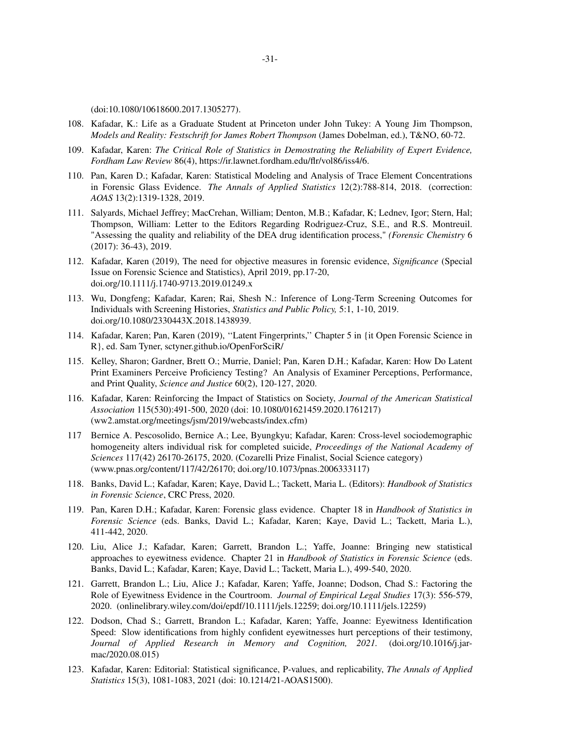(doi:10.1080/10618600.2017.1305277).

- 108. Kafadar, K.: Life as a Graduate Student at Princeton under John Tukey: A Young Jim Thompson, *Models and Reality: Festschrift for James Robert Thompson* (James Dobelman, ed.), T&NO, 60-72.
- 109. Kafadar, Karen: *The Critical Role of Statistics in Demostrating the Reliability of Expert Evidence, Fordham Law Review* 86(4), https://ir.lawnet.fordham.edu/flr/vol86/iss4/6.
- 110. Pan, Karen D.; Kafadar, Karen: Statistical Modeling and Analysis of Trace Element Concentrations in Forensic Glass Evidence. *The Annals of Applied Statistics* 12(2):788-814, 2018. (correction: *AOAS* 13(2):1319-1328, 2019.
- 111. Salyards, Michael Jeffrey; MacCrehan, William; Denton, M.B.; Kafadar, K; Lednev, Igor; Stern, Hal; Thompson, William: Letter to the Editors Regarding Rodriguez-Cruz, S.E., and R.S. Montreuil. "Assessing the quality and reliability of the DEA drug identification process," *(Forensic Chemistry* 6 (2017): 36-43), 2019.
- 112. Kafadar, Karen (2019), The need for objective measures in forensic evidence, *Significance* (Special Issue on Forensic Science and Statistics), April 2019, pp.17-20, doi.org/10.1111/j.1740-9713.2019.01249.x
- 113. Wu, Dongfeng; Kafadar, Karen; Rai, Shesh N.: Inference of Long-Term Screening Outcomes for Individuals with Screening Histories, *Statistics and Public Policy,* 5:1, 1-10, 2019. doi.org/10.1080/2330443X.2018.1438939.
- 114. Kafadar, Karen; Pan, Karen (2019), ''Latent Fingerprints,'' Chapter 5 in {it Open Forensic Science in R}, ed. Sam Tyner, sctyner.github.io/OpenForSciR/
- 115. Kelley, Sharon; Gardner, Brett O.; Murrie, Daniel; Pan, Karen D.H.; Kafadar, Karen: How Do Latent Print Examiners Perceive Proficiency Testing? An Analysis of Examiner Perceptions, Performance, and Print Quality, *Science and Justice* 60(2), 120-127, 2020.
- 116. Kafadar, Karen: Reinforcing the Impact of Statistics on Society, *Journal of the American Statistical Association* 115(530):491-500, 2020 (doi: 10.1080/01621459.2020.1761217) (ww2.amstat.org/meetings/jsm/2019/webcasts/index.cfm)
- 117 Bernice A. Pescosolido, Bernice A.; Lee, Byungkyu; Kafadar, Karen: Cross-level sociodemographic homogeneity alters individual risk for completed suicide, *Proceedings of the National Academy of Sciences* 117(42) 26170-26175, 2020. (Cozarelli Prize Finalist, Social Science category) (www.pnas.org/content/117/42/26170; doi.org/10.1073/pnas.2006333117)
- 118. Banks, David L.; Kafadar, Karen; Kaye, David L.; Tackett, Maria L. (Editors): *Handbook of Statistics in Forensic Science*, CRC Press, 2020.
- 119. Pan, Karen D.H.; Kafadar, Karen: Forensic glass evidence. Chapter 18 in *Handbook of Statistics in Forensic Science* (eds. Banks, David L.; Kafadar, Karen; Kaye, David L.; Tackett, Maria L.), 411-442, 2020.
- 120. Liu, Alice J.; Kafadar, Karen; Garrett, Brandon L.; Yaffe, Joanne: Bringing new statistical approaches to eyewitness evidence. Chapter 21 in *Handbook of Statistics in Forensic Science* (eds. Banks, David L.; Kafadar, Karen; Kaye, David L.; Tackett, Maria L.), 499-540, 2020.
- 121. Garrett, Brandon L.; Liu, Alice J.; Kafadar, Karen; Yaffe, Joanne; Dodson, Chad S.: Factoring the Role of Eyewitness Evidence in the Courtroom. *Journal of Empirical Legal Studies* 17(3): 556-579, 2020. (onlinelibrary.wiley.com/doi/epdf/10.1111/jels.12259; doi.org/10.1111/jels.12259)
- 122. Dodson, Chad S.; Garrett, Brandon L.; Kafadar, Karen; Yaffe, Joanne: Eyewitness Identification Speed: Slow identifications from highly confident eyewitnesses hurt perceptions of their testimony, *Journal of Applied Research in Memory and Cognition, 2021.* (doi.org/10.1016/j.jarmac/2020.08.015)
- 123. Kafadar, Karen: Editorial: Statistical significance, P-values, and replicability, *The Annals of Applied Statistics* 15(3), 1081-1083, 2021 (doi: 10.1214/21-AOAS1500).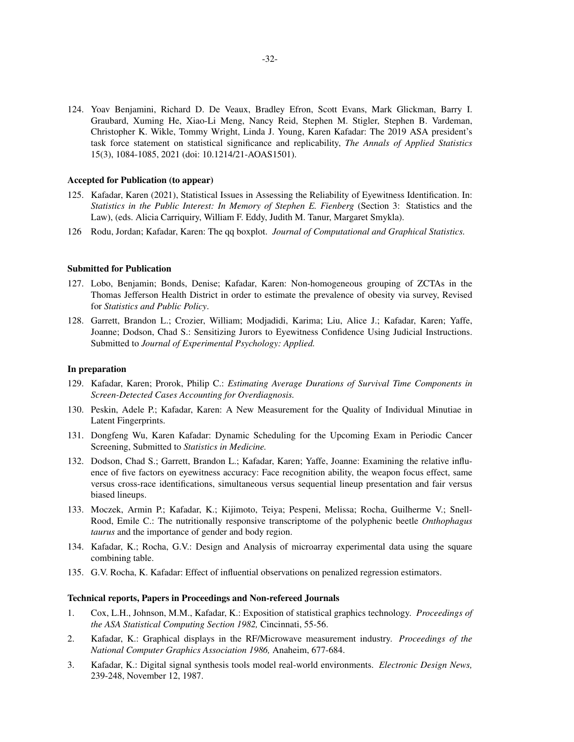124. Yoav Benjamini, Richard D. De Veaux, Bradley Efron, Scott Evans, Mark Glickman, Barry I. Graubard, Xuming He, Xiao-Li Meng, Nancy Reid, Stephen M. Stigler, Stephen B. Vardeman, Christopher K. Wikle, Tommy Wright, Linda J. Young, Karen Kafadar: The 2019 ASA president's task force statement on statistical significance and replicability, *The Annals of Applied Statistics* 15(3), 1084-1085, 2021 (doi: 10.1214/21-AOAS1501).

#### **Accepted for Publication (to appear)**

- 125. Kafadar, Karen (2021), Statistical Issues in Assessing the Reliability of Eyewitness Identification. In: *Statistics in the Public Interest: In Memory of Stephen E. Fienberg* (Section 3: Statistics and the Law), (eds. Alicia Carriquiry, William F. Eddy, Judith M. Tanur, Margaret Smykla).
- 126 Rodu, Jordan; Kafadar, Karen: The qq boxplot. *Journal of Computational and Graphical Statistics.*

#### **Submitted for Publication**

- 127. Lobo, Benjamin; Bonds, Denise; Kafadar, Karen: Non-homogeneous grouping of ZCTAs in the Thomas Jefferson Health District in order to estimate the prevalence of obesity via survey, Revised for *Statistics and Public Policy*.
- 128. Garrett, Brandon L.; Crozier, William; Modjadidi, Karima; Liu, Alice J.; Kafadar, Karen; Yaffe, Joanne; Dodson, Chad S.: Sensitizing Jurors to Eyewitness Confidence Using Judicial Instructions. Submitted to *Journal of Experimental Psychology: Applied.*

### **In preparation**

- 129. Kafadar, Karen; Prorok, Philip C.: *Estimating Average Durations of Survival Time Components in Screen-Detected Cases Accounting for Overdiagnosis.*
- 130. Peskin, Adele P.; Kafadar, Karen: A New Measurement for the Quality of Individual Minutiae in Latent Fingerprints.
- 131. Dongfeng Wu, Karen Kafadar: Dynamic Scheduling for the Upcoming Exam in Periodic Cancer Screening, Submitted to *Statistics in Medicine.*
- 132. Dodson, Chad S.; Garrett, Brandon L.; Kafadar, Karen; Yaffe, Joanne: Examining the relative influence of five factors on eyewitness accuracy: Face recognition ability, the weapon focus effect, same versus cross-race identifications, simultaneous versus sequential lineup presentation and fair versus biased lineups.
- 133. Moczek, Armin P.; Kafadar, K.; Kijimoto, Teiya; Pespeni, Melissa; Rocha, Guilherme V.; Snell-Rood, Emile C.: The nutritionally responsive transcriptome of the polyphenic beetle *Onthophagus taurus* and the importance of gender and body region.
- 134. Kafadar, K.; Rocha, G.V.: Design and Analysis of microarray experimental data using the square combining table.
- 135. G.V. Rocha, K. Kafadar: Effect of influential observations on penalized regression estimators.

#### **Technical reports, Papers in Proceedings and Non-refereed Journals**

- 1. Cox, L.H., Johnson, M.M., Kafadar, K.: Exposition of statistical graphics technology. *Proceedings of the ASA Statistical Computing Section 1982,* Cincinnati, 55-56.
- 2. Kafadar, K.: Graphical displays in the RF/Microwave measurement industry. *Proceedings of the National Computer Graphics Association 1986,* Anaheim, 677-684.
- 3. Kafadar, K.: Digital signal synthesis tools model real-world environments. *Electronic Design News,* 239-248, November 12, 1987.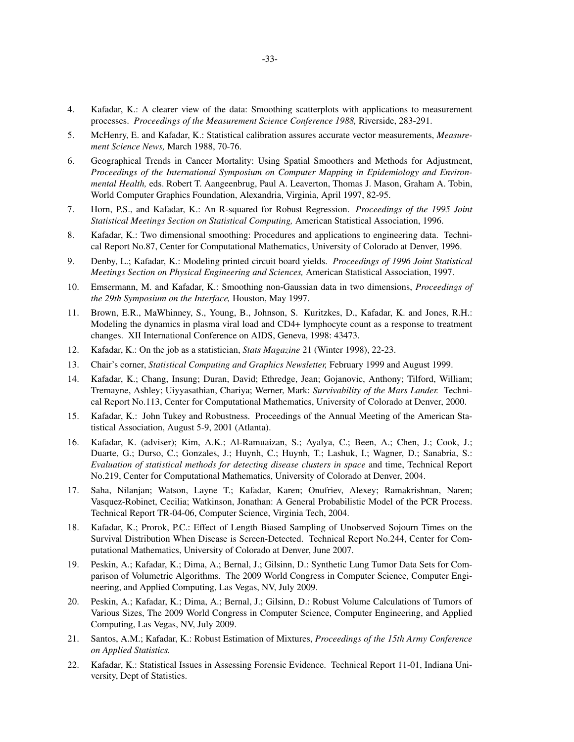- 4. Kafadar, K.: A clearer view of the data: Smoothing scatterplots with applications to measurement processes. *Proceedings of the Measurement Science Conference 1988,* Riverside, 283-291.
- 5. McHenry, E. and Kafadar, K.: Statistical calibration assures accurate vector measurements, *Measurement Science News,* March 1988, 70-76.
- 6. Geographical Trends in Cancer Mortality: Using Spatial Smoothers and Methods for Adjustment, *Proceedings of the International Symposium on Computer Mapping in Epidemiology and Environmental Health,* eds. Robert T. Aangeenbrug, Paul A. Leaverton, Thomas J. Mason, Graham A. Tobin, World Computer Graphics Foundation, Alexandria, Virginia, April 1997, 82-95.
- 7. Horn, P.S., and Kafadar, K.: An R-squared for Robust Regression. *Proceedings of the 1995 Joint Statistical Meetings Section on Statistical Computing,* American Statistical Association, 1996.
- 8. Kafadar, K.: Two dimensional smoothing: Procedures and applications to engineering data. Technical Report No.87, Center for Computational Mathematics, University of Colorado at Denver, 1996.
- 9. Denby, L.; Kafadar, K.: Modeling printed circuit board yields. *Proceedings of 1996 Joint Statistical Meetings Section on Physical Engineering and Sciences,* American Statistical Association, 1997.
- 10. Emsermann, M. and Kafadar, K.: Smoothing non-Gaussian data in two dimensions, *Proceedings of the 29th Symposium on the Interface,* Houston, May 1997.
- 11. Brown, E.R., MaWhinney, S., Young, B., Johnson, S. Kuritzkes, D., Kafadar, K. and Jones, R.H.: Modeling the dynamics in plasma viral load and CD4+ lymphocyte count as a response to treatment changes. XII International Conference on AIDS, Geneva, 1998: 43473.
- 12. Kafadar, K.: On the job as a statistician, *Stats Magazine* 21 (Winter 1998), 22-23.
- 13. Chair's corner, *Statistical Computing and Graphics Newsletter,* February 1999 and August 1999.
- 14. Kafadar, K.; Chang, Insung; Duran, David; Ethredge, Jean; Gojanovic, Anthony; Tilford, William; Tremayne, Ashley; Uiyyasathian, Chariya; Werner, Mark: *Survivability of the Mars Lander.* Technical Report No.113, Center for Computational Mathematics, University of Colorado at Denver, 2000.
- 15. Kafadar, K.: John Tukey and Robustness. Proceedings of the Annual Meeting of the American Statistical Association, August 5-9, 2001 (Atlanta).
- 16. Kafadar, K. (adviser); Kim, A.K.; Al-Ramuaizan, S.; Ayalya, C.; Been, A.; Chen, J.; Cook, J.; Duarte, G.; Durso, C.; Gonzales, J.; Huynh, C.; Huynh, T.; Lashuk, I.; Wagner, D.; Sanabria, S.: *Evaluation of statistical methods for detecting disease clusters in space* and time, Technical Report No.219, Center for Computational Mathematics, University of Colorado at Denver, 2004.
- 17. Saha, Nilanjan; Watson, Layne T.; Kafadar, Karen; Onufriev, Alexey; Ramakrishnan, Naren; Vasquez-Robinet, Cecilia; Watkinson, Jonathan: A General Probabilistic Model of the PCR Process. Technical Report TR-04-06, Computer Science, Virginia Tech, 2004.
- 18. Kafadar, K.; Prorok, P.C.: Effect of Length Biased Sampling of Unobserved Sojourn Times on the Survival Distribution When Disease is Screen-Detected. Technical Report No.244, Center for Computational Mathematics, University of Colorado at Denver, June 2007.
- 19. Peskin, A.; Kafadar, K.; Dima, A.; Bernal, J.; Gilsinn, D.: Synthetic Lung Tumor Data Sets for Comparison of Volumetric Algorithms. The 2009 World Congress in Computer Science, Computer Engineering, and Applied Computing, Las Vegas, NV, July 2009.
- 20. Peskin, A.; Kafadar, K.; Dima, A.; Bernal, J.; Gilsinn, D.: Robust Volume Calculations of Tumors of Various Sizes, The 2009 World Congress in Computer Science, Computer Engineering, and Applied Computing, Las Vegas, NV, July 2009.
- 21. Santos, A.M.; Kafadar, K.: Robust Estimation of Mixtures, *Proceedings of the 15th Army Conference on Applied Statistics.*
- 22. Kafadar, K.: Statistical Issues in Assessing Forensic Evidence. Technical Report 11-01, Indiana University, Dept of Statistics.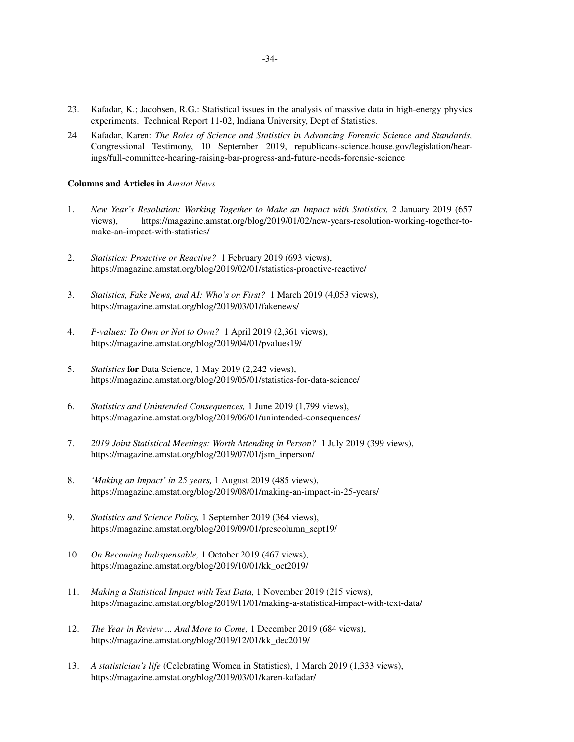- 23. Kafadar, K.; Jacobsen, R.G.: Statistical issues in the analysis of massive data in high-energy physics experiments. Technical Report 11-02, Indiana University, Dept of Statistics.
- 24 Kafadar, Karen: *The Roles of Science and Statistics in Advancing Forensic Science and Standards,* Congressional Testimony, 10 September 2019, republicans-science.house.gov/legislation/hearings/full-committee-hearing-raising-bar-progress-and-future-needs-forensic-science

### **Columns and Articles in** *Amstat News*

- 1. *New Year's Resolution: Working Together to Make an Impact with Statistics,* 2 January 2019 (657 views), https://magazine.amstat.org/blog/2019/01/02/new-years-resolution-working-together-tomake-an-impact-with-statistics/
- 2. *Statistics: Proactive or Reactive?* 1 February 2019 (693 views), https://magazine.amstat.org/blog/2019/02/01/statistics-proactive-reactive/
- 3. *Statistics, Fake News, and AI: Who's on First?* 1 March 2019 (4,053 views), https://magazine.amstat.org/blog/2019/03/01/fakenews/
- 4. *P-values: To Own or Not to Own?* 1 April 2019 (2,361 views), https://magazine.amstat.org/blog/2019/04/01/pvalues19/
- 5. *Statistics* **for** Data Science, 1 May 2019 (2,242 views), https://magazine.amstat.org/blog/2019/05/01/statistics-for-data-science/
- 6. *Statistics and Unintended Consequences,* 1 June 2019 (1,799 views), https://magazine.amstat.org/blog/2019/06/01/unintended-consequences/
- 7. *2019 Joint Statistical Meetings: Worth Attending in Person?* 1 July 2019 (399 views), https://magazine.amstat.org/blog/2019/07/01/jsm\_inperson/
- 8. *'Making an Impact' in 25 years,* 1 August 2019 (485 views), https://magazine.amstat.org/blog/2019/08/01/making-an-impact-in-25-years/
- 9. *Statistics and Science Policy,* 1 September 2019 (364 views), https://magazine.amstat.org/blog/2019/09/01/prescolumn\_sept19/
- 10. *On Becoming Indispensable,* 1 October 2019 (467 views), https://magazine.amstat.org/blog/2019/10/01/kk\_oct2019/
- 11. *Making a Statistical Impact with Text Data,* 1 November 2019 (215 views), https://magazine.amstat.org/blog/2019/11/01/making-a-statistical-impact-with-text-data/
- 12. *The Year in Review ... And More to Come,* 1 December 2019 (684 views), https://magazine.amstat.org/blog/2019/12/01/kk\_dec2019/
- 13. *A statistician's life* (Celebrating Women in Statistics), 1 March 2019 (1,333 views), https://magazine.amstat.org/blog/2019/03/01/karen-kafadar/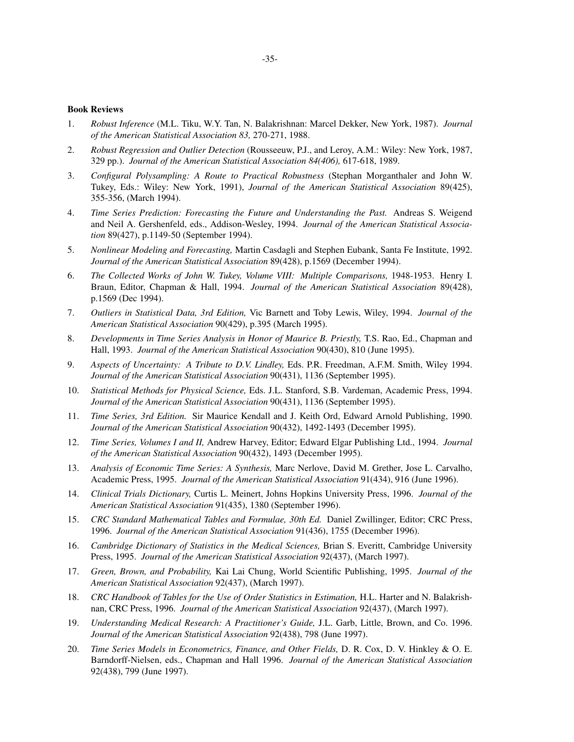### **Book Reviews**

- 1. *Robust Inference* (M.L. Tiku, W.Y. Tan, N. Balakrishnan: Marcel Dekker, New York, 1987). *Journal of the American Statistical Association 83,* 270-271, 1988.
- 2. *Robust Regression and Outlier Detection* (Rousseeuw, P.J., and Leroy, A.M.: Wiley: New York, 1987, 329 pp.). *Journal of the American Statistical Association 84(406),* 617-618, 1989.
- 3. *Configural Polysampling: A Route to Practical Robustness* (Stephan Morganthaler and John W. Tukey, Eds.: Wiley: New York, 1991), *Journal of the American Statistical Association* 89(425), 355-356, (March 1994).
- 4. *Time Series Prediction: Forecasting the Future and Understanding the Past.* Andreas S. Weigend and Neil A. Gershenfeld, eds., Addison-Wesley, 1994. *Journal of the American Statistical Association* 89(427), p.1149-50 (September 1994).
- 5. *Nonlinear Modeling and Forecasting,* Martin Casdagli and Stephen Eubank, Santa Fe Institute, 1992. *Journal of the American Statistical Association* 89(428), p.1569 (December 1994).
- 6. *The Collected Works of John W. Tukey, Volume VIII: Multiple Comparisons,* 1948-1953. Henry I. Braun, Editor, Chapman & Hall, 1994. *Journal of the American Statistical Association* 89(428), p.1569 (Dec 1994).
- 7. *Outliers in Statistical Data, 3rd Edition,* Vic Barnett and Toby Lewis, Wiley, 1994. *Journal of the American Statistical Association* 90(429), p.395 (March 1995).
- 8. *Developments in Time Series Analysis in Honor of Maurice B. Priestly,* T.S. Rao, Ed., Chapman and Hall, 1993. *Journal of the American Statistical Association* 90(430), 810 (June 1995).
- 9. *Aspects of Uncertainty: A Tribute to D.V. Lindley,* Eds. P.R. Freedman, A.F.M. Smith, Wiley 1994. *Journal of the American Statistical Association* 90(431), 1136 (September 1995).
- 10. *Statistical Methods for Physical Science,* Eds. J.L. Stanford, S.B. Vardeman, Academic Press, 1994. *Journal of the American Statistical Association* 90(431), 1136 (September 1995).
- 11. *Time Series, 3rd Edition.* Sir Maurice Kendall and J. Keith Ord, Edward Arnold Publishing, 1990. *Journal of the American Statistical Association* 90(432), 1492-1493 (December 1995).
- 12. *Time Series, Volumes I and II,* Andrew Harvey, Editor; Edward Elgar Publishing Ltd., 1994. *Journal of the American Statistical Association* 90(432), 1493 (December 1995).
- 13. *Analysis of Economic Time Series: A Synthesis,* Marc Nerlove, David M. Grether, Jose L. Carvalho, Academic Press, 1995. *Journal of the American Statistical Association* 91(434), 916 (June 1996).
- 14. *Clinical Trials Dictionary,* Curtis L. Meinert, Johns Hopkins University Press, 1996. *Journal of the American Statistical Association* 91(435), 1380 (September 1996).
- 15. *CRC Standard Mathematical Tables and Formulae, 30th Ed.* Daniel Zwillinger, Editor; CRC Press, 1996. *Journal of the American Statistical Association* 91(436), 1755 (December 1996).
- 16. *Cambridge Dictionary of Statistics in the Medical Sciences,* Brian S. Everitt, Cambridge University Press, 1995. *Journal of the American Statistical Association* 92(437), (March 1997).
- 17. *Green, Brown, and Probability,* Kai Lai Chung, World Scientific Publishing, 1995. *Journal of the American Statistical Association* 92(437), (March 1997).
- 18. *CRC Handbook of Tables for the Use of Order Statistics in Estimation,* H.L. Harter and N. Balakrishnan, CRC Press, 1996. *Journal of the American Statistical Association* 92(437), (March 1997).
- 19. *Understanding Medical Research:APractitioner's Guide,* J.L. Garb, Little, Brown, and Co. 1996. *Journal of the American Statistical Association* 92(438), 798 (June 1997).
- 20. *Time Series Models in Econometrics, Finance, and Other Fields,* D. R. Cox, D. V. Hinkley & O. E. Barndorff-Nielsen, eds., Chapman and Hall 1996. *Journal of the American Statistical Association* 92(438), 799 (June 1997).